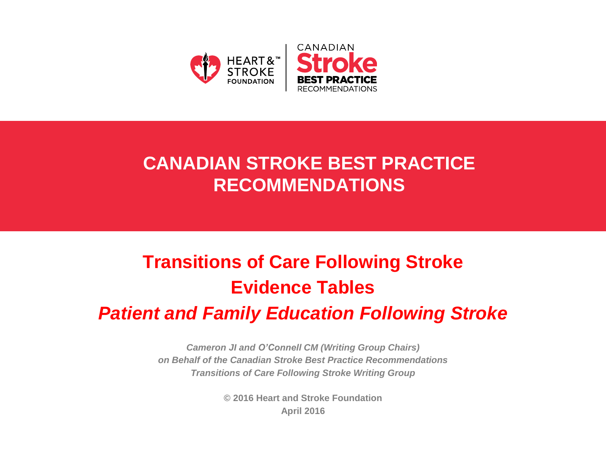

## **CANADIAN STROKE BEST PRACTICE RECOMMENDATIONS**

# **Transitions of Care Following Stroke Evidence Tables** *Patient and Family Education Following Stroke*

*Cameron JI and O'Connell CM (Writing Group Chairs) on Behalf of the Canadian Stroke Best Practice Recommendations Transitions of Care Following Stroke Writing Group*

> **© 2016 Heart and Stroke Foundation April 2016**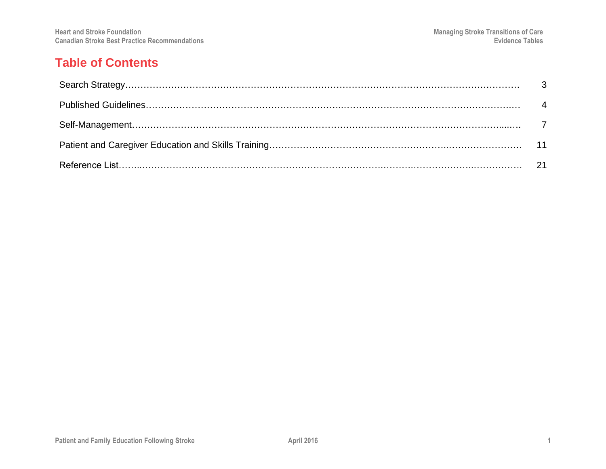## **Table of Contents**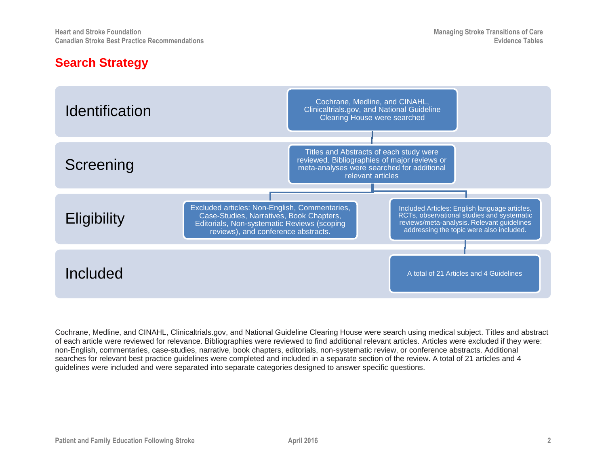### **Search Strategy**



Cochrane, Medline, and CINAHL, Clinicaltrials.gov, and National Guideline Clearing House were search using medical subject. Titles and abstract of each article were reviewed for relevance. Bibliographies were reviewed to find additional relevant articles. Articles were excluded if they were: non-English, commentaries, case-studies, narrative, book chapters, editorials, non-systematic review, or conference abstracts. Additional searches for relevant best practice guidelines were completed and included in a separate section of the review. A total of 21 articles and 4 guidelines were included and were separated into separate categories designed to answer specific questions.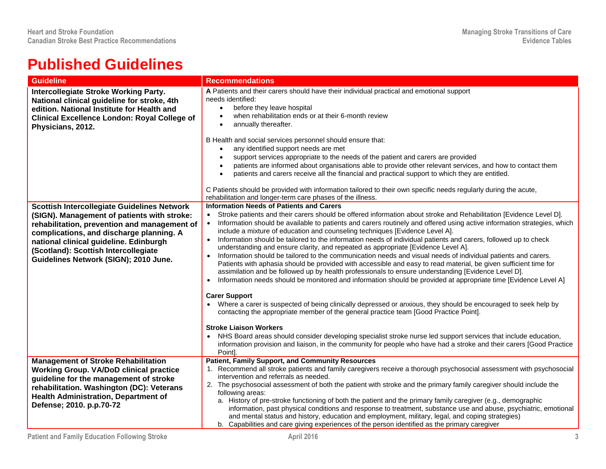## **Published Guidelines**

| <b>Guideline</b>                                                                                                                                                                                                                                                                                                         | <b>Recommendations</b>                                                                                                                                                                                                                                                                                                                                                                                                                                                                                                                                                                                                                                                                                                                                                                                                                                                                                                                                                                                                                                                                                                                                                                                                                                                                                                                                                                                                                                                                                                                                                             |
|--------------------------------------------------------------------------------------------------------------------------------------------------------------------------------------------------------------------------------------------------------------------------------------------------------------------------|------------------------------------------------------------------------------------------------------------------------------------------------------------------------------------------------------------------------------------------------------------------------------------------------------------------------------------------------------------------------------------------------------------------------------------------------------------------------------------------------------------------------------------------------------------------------------------------------------------------------------------------------------------------------------------------------------------------------------------------------------------------------------------------------------------------------------------------------------------------------------------------------------------------------------------------------------------------------------------------------------------------------------------------------------------------------------------------------------------------------------------------------------------------------------------------------------------------------------------------------------------------------------------------------------------------------------------------------------------------------------------------------------------------------------------------------------------------------------------------------------------------------------------------------------------------------------------|
| <b>Intercollegiate Stroke Working Party.</b><br>National clinical guideline for stroke, 4th<br>edition. National Institute for Health and<br><b>Clinical Excellence London: Royal College of</b><br>Physicians, 2012.                                                                                                    | A Patients and their carers should have their individual practical and emotional support<br>needs identified:<br>before they leave hospital<br>$\bullet$<br>when rehabilitation ends or at their 6-month review<br>annually thereafter.<br>$\bullet$<br>B Health and social services personnel should ensure that:<br>any identified support needs are met<br>$\bullet$<br>support services appropriate to the needs of the patient and carers are provided<br>patients are informed about organisations able to provide other relevant services, and how to contact them<br>patients and carers receive all the financial and practical support to which they are entitled.<br>$\bullet$<br>C Patients should be provided with information tailored to their own specific needs regularly during the acute,                                                                                                                                                                                                                                                                                                                                                                                                                                                                                                                                                                                                                                                                                                                                                                       |
|                                                                                                                                                                                                                                                                                                                          | rehabilitation and longer-term care phases of the illness.<br><b>Information Needs of Patients and Carers</b>                                                                                                                                                                                                                                                                                                                                                                                                                                                                                                                                                                                                                                                                                                                                                                                                                                                                                                                                                                                                                                                                                                                                                                                                                                                                                                                                                                                                                                                                      |
| <b>Scottish Intercollegiate Guidelines Network</b><br>(SIGN). Management of patients with stroke:<br>rehabilitation, prevention and management of<br>complications, and discharge planning. A<br>national clinical guideline. Edinburgh<br>(Scotland): Scottish Intercollegiate<br>Guidelines Network (SIGN); 2010 June. | Stroke patients and their carers should be offered information about stroke and Rehabilitation [Evidence Level D].<br>$\bullet$<br>Information should be available to patients and carers routinely and offered using active information strategies, which<br>$\bullet$<br>include a mixture of education and counseling techniques [Evidence Level A].<br>Information should be tailored to the information needs of individual patients and carers, followed up to check<br>$\bullet$<br>understanding and ensure clarity, and repeated as appropriate [Evidence Level A].<br>Information should be tailored to the communication needs and visual needs of individual patients and carers.<br>Patients with aphasia should be provided with accessible and easy to read material, be given sufficient time for<br>assimilation and be followed up by health professionals to ensure understanding [Evidence Level D].<br>Information needs should be monitored and information should be provided at appropriate time [Evidence Level A]<br>$\bullet$<br><b>Carer Support</b><br>Where a carer is suspected of being clinically depressed or anxious, they should be encouraged to seek help by<br>contacting the appropriate member of the general practice team [Good Practice Point].<br><b>Stroke Liaison Workers</b><br>NHS Board areas should consider developing specialist stroke nurse led support services that include education,<br>information provision and liaison, in the community for people who have had a stroke and their carers [Good Practice<br>Point]. |
| <b>Management of Stroke Rehabilitation</b><br><b>Working Group. VA/DoD clinical practice</b><br>guideline for the management of stroke<br>rehabilitation. Washington (DC): Veterans<br><b>Health Administration, Department of</b><br>Defense; 2010. p.p.70-72                                                           | <b>Patient, Family Support, and Community Resources</b><br>1. Recommend all stroke patients and family caregivers receive a thorough psychosocial assessment with psychosocial<br>intervention and referrals as needed.<br>2. The psychosocial assessment of both the patient with stroke and the primary family caregiver should include the<br>following areas:<br>a. History of pre-stroke functioning of both the patient and the primary family caregiver (e.g., demographic<br>information, past physical conditions and response to treatment, substance use and abuse, psychiatric, emotional<br>and mental status and history, education and employment, military, legal, and coping strategies)<br>b. Capabilities and care giving experiences of the person identified as the primary caregiver                                                                                                                                                                                                                                                                                                                                                                                                                                                                                                                                                                                                                                                                                                                                                                         |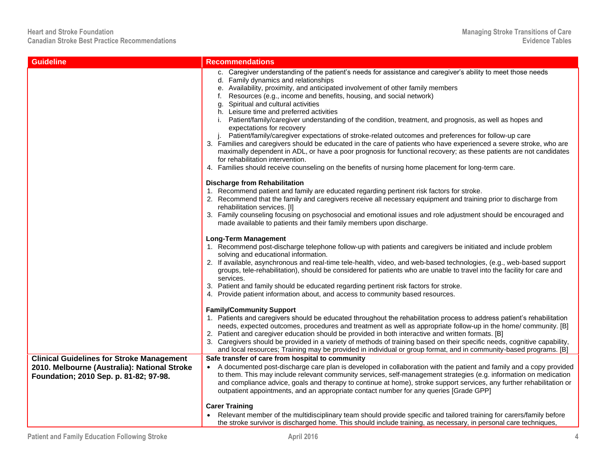| <b>Guideline</b>                                                                                                                           | <b>Recommendations</b>                                                                                                                                                                                                                                                                                                                                                                                                                                                                                                                                                                                                                                                                                                                                                                                                                                                                                                                                                                                                                            |
|--------------------------------------------------------------------------------------------------------------------------------------------|---------------------------------------------------------------------------------------------------------------------------------------------------------------------------------------------------------------------------------------------------------------------------------------------------------------------------------------------------------------------------------------------------------------------------------------------------------------------------------------------------------------------------------------------------------------------------------------------------------------------------------------------------------------------------------------------------------------------------------------------------------------------------------------------------------------------------------------------------------------------------------------------------------------------------------------------------------------------------------------------------------------------------------------------------|
|                                                                                                                                            | c. Caregiver understanding of the patient's needs for assistance and caregiver's ability to meet those needs<br>d. Family dynamics and relationships<br>e. Availability, proximity, and anticipated involvement of other family members<br>f. Resources (e.g., income and benefits, housing, and social network)<br>g. Spiritual and cultural activities<br>h. Leisure time and preferred activities<br>Patient/family/caregiver understanding of the condition, treatment, and prognosis, as well as hopes and<br>expectations for recovery<br>Patient/family/caregiver expectations of stroke-related outcomes and preferences for follow-up care<br>J.<br>3. Families and caregivers should be educated in the care of patients who have experienced a severe stroke, who are<br>maximally dependent in ADL, or have a poor prognosis for functional recovery; as these patients are not candidates<br>for rehabilitation intervention.<br>4. Families should receive counseling on the benefits of nursing home placement for long-term care. |
|                                                                                                                                            | <b>Discharge from Rehabilitation</b><br>1. Recommend patient and family are educated regarding pertinent risk factors for stroke.<br>2. Recommend that the family and caregivers receive all necessary equipment and training prior to discharge from<br>rehabilitation services. [I]<br>3. Family counseling focusing on psychosocial and emotional issues and role adjustment should be encouraged and<br>made available to patients and their family members upon discharge.                                                                                                                                                                                                                                                                                                                                                                                                                                                                                                                                                                   |
|                                                                                                                                            | <b>Long-Term Management</b><br>1. Recommend post-discharge telephone follow-up with patients and caregivers be initiated and include problem<br>solving and educational information.<br>2. If available, asynchronous and real-time tele-health, video, and web-based technologies, (e.g., web-based support<br>groups, tele-rehabilitation), should be considered for patients who are unable to travel into the facility for care and<br>services.<br>3. Patient and family should be educated regarding pertinent risk factors for stroke.<br>4. Provide patient information about, and access to community based resources.                                                                                                                                                                                                                                                                                                                                                                                                                   |
|                                                                                                                                            | <b>Family/Community Support</b><br>1. Patients and caregivers should be educated throughout the rehabilitation process to address patient's rehabilitation<br>needs, expected outcomes, procedures and treatment as well as appropriate follow-up in the home/community. [B]<br>2. Patient and caregiver education should be provided in both interactive and written formats. [B]<br>3. Caregivers should be provided in a variety of methods of training based on their specific needs, cognitive capability,<br>and local resources; Training may be provided in individual or group format, and in community-based programs. [B]                                                                                                                                                                                                                                                                                                                                                                                                              |
| <b>Clinical Guidelines for Stroke Management</b><br>2010. Melbourne (Australia): National Stroke<br>Foundation; 2010 Sep. p. 81-82; 97-98. | Safe transfer of care from hospital to community<br>• A documented post-discharge care plan is developed in collaboration with the patient and family and a copy provided<br>to them. This may include relevant community services, self-management strategies (e.g. information on medication<br>and compliance advice, goals and therapy to continue at home), stroke support services, any further rehabilitation or<br>outpatient appointments, and an appropriate contact number for any queries [Grade GPP]                                                                                                                                                                                                                                                                                                                                                                                                                                                                                                                                 |
|                                                                                                                                            | <b>Carer Training</b><br>Relevant member of the multidisciplinary team should provide specific and tailored training for carers/family before<br>the stroke survivor is discharged home. This should include training, as necessary, in personal care techniques,                                                                                                                                                                                                                                                                                                                                                                                                                                                                                                                                                                                                                                                                                                                                                                                 |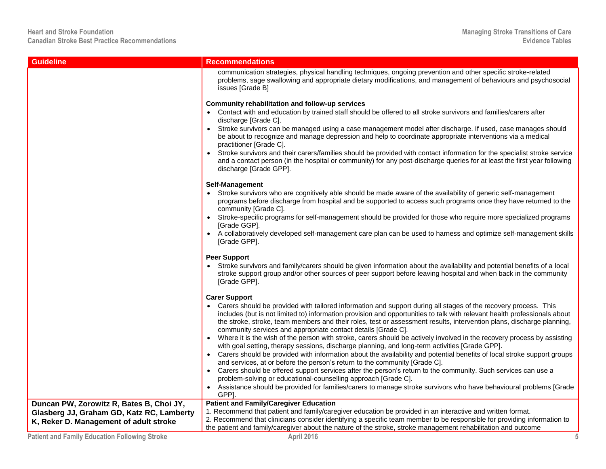| <b>Guideline</b>                                                                                                                | <b>Recommendations</b>                                                                                                                                                                                                                                                                                                                                                                                                                                                                                                                                                                                                                                                                                                                                                                                                                                                                                                                                                                                                                                                                                                                                                                                                |
|---------------------------------------------------------------------------------------------------------------------------------|-----------------------------------------------------------------------------------------------------------------------------------------------------------------------------------------------------------------------------------------------------------------------------------------------------------------------------------------------------------------------------------------------------------------------------------------------------------------------------------------------------------------------------------------------------------------------------------------------------------------------------------------------------------------------------------------------------------------------------------------------------------------------------------------------------------------------------------------------------------------------------------------------------------------------------------------------------------------------------------------------------------------------------------------------------------------------------------------------------------------------------------------------------------------------------------------------------------------------|
|                                                                                                                                 | communication strategies, physical handling techniques, ongoing prevention and other specific stroke-related<br>problems, sage swallowing and appropriate dietary modifications, and management of behaviours and psychosocial<br>issues [Grade B]                                                                                                                                                                                                                                                                                                                                                                                                                                                                                                                                                                                                                                                                                                                                                                                                                                                                                                                                                                    |
|                                                                                                                                 | Community rehabilitation and follow-up services<br>Contact with and education by trained staff should be offered to all stroke survivors and families/carers after<br>discharge [Grade C].<br>Stroke survivors can be managed using a case management model after discharge. If used, case manages should<br>be about to recognize and manage depression and help to coordinate appropriate interventions via a medical<br>practitioner [Grade C].<br>Stroke survivors and their carers/families should be provided with contact information for the specialist stroke service<br>and a contact person (in the hospital or community) for any post-discharge queries for at least the first year following<br>discharge [Grade GPP].<br>Self-Management                                                                                                                                                                                                                                                                                                                                                                                                                                                               |
|                                                                                                                                 | Stroke survivors who are cognitively able should be made aware of the availability of generic self-management<br>programs before discharge from hospital and be supported to access such programs once they have returned to the<br>community [Grade C].<br>Stroke-specific programs for self-management should be provided for those who require more specialized programs<br>[Grade GGP].<br>A collaboratively developed self-management care plan can be used to harness and optimize self-management skills<br>[Grade GPP].                                                                                                                                                                                                                                                                                                                                                                                                                                                                                                                                                                                                                                                                                       |
|                                                                                                                                 | <b>Peer Support</b><br>Stroke survivors and family/carers should be given information about the availability and potential benefits of a local<br>stroke support group and/or other sources of peer support before leaving hospital and when back in the community<br>[Grade GPP].                                                                                                                                                                                                                                                                                                                                                                                                                                                                                                                                                                                                                                                                                                                                                                                                                                                                                                                                    |
|                                                                                                                                 | <b>Carer Support</b><br>Carers should be provided with tailored information and support during all stages of the recovery process. This<br>includes (but is not limited to) information provision and opportunities to talk with relevant health professionals about<br>the stroke, stroke, team members and their roles, test or assessment results, intervention plans, discharge planning,<br>community services and appropriate contact details [Grade C].<br>Where it is the wish of the person with stroke, carers should be actively involved in the recovery process by assisting<br>with goal setting, therapy sessions, discharge planning, and long-term activities [Grade GPP].<br>Carers should be provided with information about the availability and potential benefits of local stroke support groups<br>and services, at or before the person's return to the community [Grade C].<br>Carers should be offered support services after the person's return to the community. Such services can use a<br>problem-solving or educational-counselling approach [Grade C].<br>Assistance should be provided for families/carers to manage stroke survivors who have behavioural problems [Grade<br>GPP]. |
| Duncan PW, Zorowitz R, Bates B, Choi JY,<br>Glasberg JJ, Graham GD, Katz RC, Lamberty<br>K, Reker D. Management of adult stroke | <b>Patient and Family/Caregiver Education</b><br>1. Recommend that patient and family/caregiver education be provided in an interactive and written format.<br>2. Recommend that clinicians consider identifying a specific team member to be responsible for providing information to<br>the patient and family/caregiver about the nature of the stroke, stroke management rehabilitation and outcome                                                                                                                                                                                                                                                                                                                                                                                                                                                                                                                                                                                                                                                                                                                                                                                                               |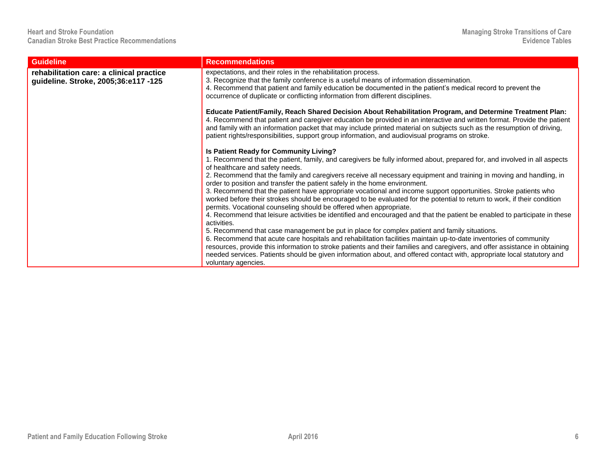| <b>Guideline</b>                                                                 | <b>Recommendations</b>                                                                                                                                                                                                                                                                                                                                                                                                                                                                                                                                                                                                                                                                                                                                                                                                                                                                                                                                                                                                                                                                                                                                                                                                                                                                                                                                                           |
|----------------------------------------------------------------------------------|----------------------------------------------------------------------------------------------------------------------------------------------------------------------------------------------------------------------------------------------------------------------------------------------------------------------------------------------------------------------------------------------------------------------------------------------------------------------------------------------------------------------------------------------------------------------------------------------------------------------------------------------------------------------------------------------------------------------------------------------------------------------------------------------------------------------------------------------------------------------------------------------------------------------------------------------------------------------------------------------------------------------------------------------------------------------------------------------------------------------------------------------------------------------------------------------------------------------------------------------------------------------------------------------------------------------------------------------------------------------------------|
| rehabilitation care: a clinical practice<br>guideline. Stroke, 2005;36:e117 -125 | expectations, and their roles in the rehabilitation process.<br>3. Recognize that the family conference is a useful means of information dissemination.<br>4. Recommend that patient and family education be documented in the patient's medical record to prevent the<br>occurrence of duplicate or conflicting information from different disciplines.                                                                                                                                                                                                                                                                                                                                                                                                                                                                                                                                                                                                                                                                                                                                                                                                                                                                                                                                                                                                                         |
|                                                                                  | Educate Patient/Family, Reach Shared Decision About Rehabilitation Program, and Determine Treatment Plan:<br>4. Recommend that patient and caregiver education be provided in an interactive and written format. Provide the patient<br>and family with an information packet that may include printed material on subjects such as the resumption of driving,<br>patient rights/responsibilities, support group information, and audiovisual programs on stroke.                                                                                                                                                                                                                                                                                                                                                                                                                                                                                                                                                                                                                                                                                                                                                                                                                                                                                                                |
|                                                                                  | Is Patient Ready for Community Living?<br>1. Recommend that the patient, family, and caregivers be fully informed about, prepared for, and involved in all aspects<br>of healthcare and safety needs.<br>2. Recommend that the family and caregivers receive all necessary equipment and training in moving and handling, in<br>order to position and transfer the patient safely in the home environment.<br>3. Recommend that the patient have appropriate vocational and income support opportunities. Stroke patients who<br>worked before their strokes should be encouraged to be evaluated for the potential to return to work, if their condition<br>permits. Vocational counseling should be offered when appropriate.<br>4. Recommend that leisure activities be identified and encouraged and that the patient be enabled to participate in these<br>activities.<br>5. Recommend that case management be put in place for complex patient and family situations.<br>6. Recommend that acute care hospitals and rehabilitation facilities maintain up-to-date inventories of community<br>resources, provide this information to stroke patients and their families and caregivers, and offer assistance in obtaining<br>needed services. Patients should be given information about, and offered contact with, appropriate local statutory and<br>voluntary agencies. |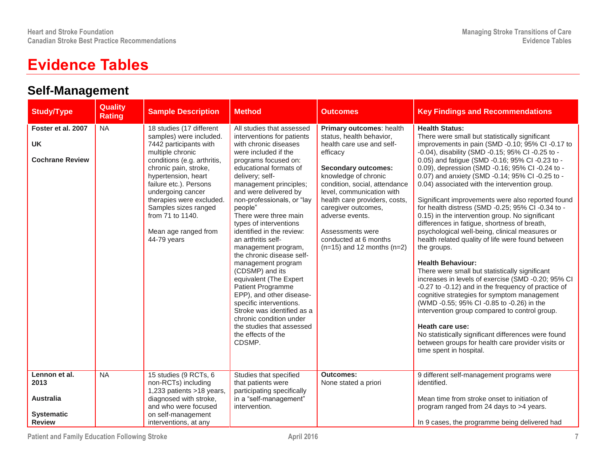## **Evidence Tables**

## **Self-Management**

| <b>Study/Type</b>                                                               | Quality<br><b>Rating</b> | <b>Sample Description</b>                                                                                                                                                                                                                                                                                                                      | <b>Method</b>                                                                                                                                                                                                                                                                                                                                                                                                                                                                                                                                                                                                                                                                                            | <b>Outcomes</b>                                                                                                                                                                                                                                                                                                                                                             | <b>Key Findings and Recommendations</b>                                                                                                                                                                                                                                                                                                                                                                                                                                                                                                                                                                                                                                                                                                                                                                                                                                                                                                                                                                                                                                                                                                                                                                                        |
|---------------------------------------------------------------------------------|--------------------------|------------------------------------------------------------------------------------------------------------------------------------------------------------------------------------------------------------------------------------------------------------------------------------------------------------------------------------------------|----------------------------------------------------------------------------------------------------------------------------------------------------------------------------------------------------------------------------------------------------------------------------------------------------------------------------------------------------------------------------------------------------------------------------------------------------------------------------------------------------------------------------------------------------------------------------------------------------------------------------------------------------------------------------------------------------------|-----------------------------------------------------------------------------------------------------------------------------------------------------------------------------------------------------------------------------------------------------------------------------------------------------------------------------------------------------------------------------|--------------------------------------------------------------------------------------------------------------------------------------------------------------------------------------------------------------------------------------------------------------------------------------------------------------------------------------------------------------------------------------------------------------------------------------------------------------------------------------------------------------------------------------------------------------------------------------------------------------------------------------------------------------------------------------------------------------------------------------------------------------------------------------------------------------------------------------------------------------------------------------------------------------------------------------------------------------------------------------------------------------------------------------------------------------------------------------------------------------------------------------------------------------------------------------------------------------------------------|
| Foster et al. 2007<br><b>UK</b><br><b>Cochrane Review</b>                       | <b>NA</b>                | 18 studies (17 different<br>samples) were included.<br>7442 participants with<br>multiple chronic<br>conditions (e.g. arthritis,<br>chronic pain, stroke,<br>hypertension, heart<br>failure etc.). Persons<br>undergoing cancer<br>therapies were excluded.<br>Samples sizes ranged<br>from 71 to 1140.<br>Mean age ranged from<br>44-79 years | All studies that assessed<br>interventions for patients<br>with chronic diseases<br>were included if the<br>programs focused on:<br>educational formats of<br>delivery; self-<br>management principles;<br>and were delivered by<br>non-professionals, or "lay<br>people"<br>There were three main<br>types of interventions<br>identified in the review:<br>an arthritis self-<br>management program,<br>the chronic disease self-<br>management program<br>(CDSMP) and its<br>equivalent (The Expert<br>Patient Programme<br>EPP), and other disease-<br>specific interventions.<br>Stroke was identified as a<br>chronic condition under<br>the studies that assessed<br>the effects of the<br>CDSMP. | Primary outcomes: health<br>status, health behavior,<br>health care use and self-<br>efficacy<br><b>Secondary outcomes:</b><br>knowledge of chronic<br>condition, social, attendance<br>level, communication with<br>health care providers, costs,<br>caregiver outcomes,<br>adverse events.<br>Assessments were<br>conducted at 6 months<br>$(n=15)$ and 12 months $(n=2)$ | <b>Health Status:</b><br>There were small but statistically significant<br>improvements in pain (SMD -0.10; 95% CI -0.17 to<br>-0.04), disability (SMD -0.15; 95% CI -0.25 to -<br>0.05) and fatigue (SMD -0.16; 95% CI -0.23 to -<br>0.09), depression (SMD -0.16; 95% CI -0.24 to -<br>0.07) and anxiety (SMD -0.14; 95% CI -0.25 to -<br>0.04) associated with the intervention group.<br>Significant improvements were also reported found<br>for health distress (SMD -0.25; 95% CI -0.34 to -<br>0.15) in the intervention group. No significant<br>differences in fatigue, shortness of breath,<br>psychological well-being, clinical measures or<br>health related quality of life were found between<br>the groups.<br><b>Health Behaviour:</b><br>There were small but statistically significant<br>increases in levels of exercise (SMD -0.20; 95% CI<br>-0.27 to -0.12) and in the frequency of practice of<br>cognitive strategies for symptom management<br>(WMD -0.55; 95% CI -0.85 to -0.26) in the<br>intervention group compared to control group.<br>Heath care use:<br>No statistically significant differences were found<br>between groups for health care provider visits or<br>time spent in hospital. |
| Lennon et al.<br>2013<br><b>Australia</b><br><b>Systematic</b><br><b>Review</b> | <b>NA</b>                | 15 studies (9 RCTs, 6<br>non-RCTs) including<br>1,233 patients >18 years,<br>diagnosed with stroke,<br>and who were focused<br>on self-management<br>interventions, at any                                                                                                                                                                     | Studies that specified<br>that patients were<br>participating specifically<br>in a "self-management"<br>intervention.                                                                                                                                                                                                                                                                                                                                                                                                                                                                                                                                                                                    | <b>Outcomes:</b><br>None stated a priori                                                                                                                                                                                                                                                                                                                                    | 9 different self-management programs were<br>identified.<br>Mean time from stroke onset to initiation of<br>program ranged from 24 days to >4 years.<br>In 9 cases, the programme being delivered had                                                                                                                                                                                                                                                                                                                                                                                                                                                                                                                                                                                                                                                                                                                                                                                                                                                                                                                                                                                                                          |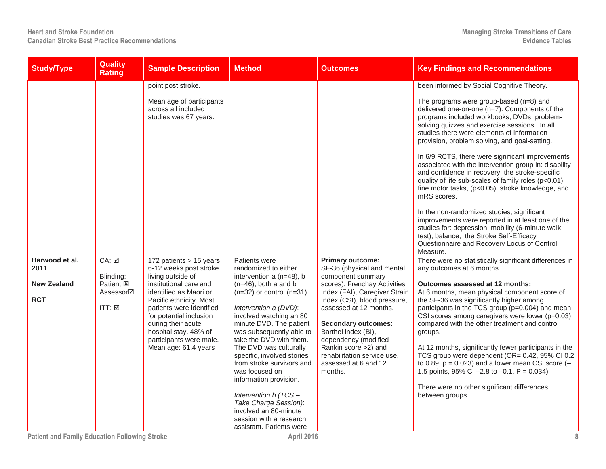| <b>Study/Type</b>                                          | <b>Quality</b><br><b>Rating</b>                                              | <b>Sample Description</b>                                                                                                                                                                                                                                                                                                                                                                                         | <b>Method</b>                                                                                                                                                                                                                                                                                                                                                                                         | Outcomes                                                                                                                                                                                                                                                                                                                                                              | <b>Key Findings and Recommendations</b>                                                                                                                                                                                                                                                                                                                                                                                                                                                                                                                                                                                                                                                                                                                                                                                                                                                                                                                                                                                                                                                                                                                                                                                                                                                                                                                                                                                                                                                                                                                     |
|------------------------------------------------------------|------------------------------------------------------------------------------|-------------------------------------------------------------------------------------------------------------------------------------------------------------------------------------------------------------------------------------------------------------------------------------------------------------------------------------------------------------------------------------------------------------------|-------------------------------------------------------------------------------------------------------------------------------------------------------------------------------------------------------------------------------------------------------------------------------------------------------------------------------------------------------------------------------------------------------|-----------------------------------------------------------------------------------------------------------------------------------------------------------------------------------------------------------------------------------------------------------------------------------------------------------------------------------------------------------------------|-------------------------------------------------------------------------------------------------------------------------------------------------------------------------------------------------------------------------------------------------------------------------------------------------------------------------------------------------------------------------------------------------------------------------------------------------------------------------------------------------------------------------------------------------------------------------------------------------------------------------------------------------------------------------------------------------------------------------------------------------------------------------------------------------------------------------------------------------------------------------------------------------------------------------------------------------------------------------------------------------------------------------------------------------------------------------------------------------------------------------------------------------------------------------------------------------------------------------------------------------------------------------------------------------------------------------------------------------------------------------------------------------------------------------------------------------------------------------------------------------------------------------------------------------------------|
| Harwood et al.<br>2011<br><b>New Zealand</b><br><b>RCT</b> | $CA: \Box$<br>Blinding:<br>Patient <b>E</b><br>Assessor⊠<br>$ITT: \boxed{2}$ | point post stroke.<br>Mean age of participants<br>across all included<br>studies was 67 years.<br>172 patients > 15 years,<br>6-12 weeks post stroke<br>living outside of<br>institutional care and<br>identified as Maori or<br>Pacific ethnicity. Most<br>patients were identified<br>for potential inclusion<br>during their acute<br>hospital stay. 48% of<br>participants were male.<br>Mean age: 61.4 years | Patients were<br>randomized to either<br>intervention a (n=48), b<br>$(n=46)$ , both a and b<br>$(n=32)$ or control $(n=31)$ .<br>Intervention a (DVD):<br>involved watching an 80<br>minute DVD. The patient<br>was subsequently able to<br>take the DVD with them.<br>The DVD was culturally<br>specific, involved stories<br>from stroke survivors and<br>was focused on<br>information provision. | <b>Primary outcome:</b><br>SF-36 (physical and mental<br>component summary<br>scores), Frenchay Activities<br>Index (FAI), Caregiver Strain<br>Index (CSI), blood pressure,<br>assessed at 12 months.<br>Secondary outcomes:<br>Barthel index (BI),<br>dependency (modified<br>Rankin score >2) and<br>rehabilitation service use.<br>assessed at 6 and 12<br>months. | been informed by Social Cognitive Theory.<br>The programs were group-based (n=8) and<br>delivered one-on-one (n=7). Components of the<br>programs included workbooks, DVDs, problem-<br>solving quizzes and exercise sessions. In all<br>studies there were elements of information<br>provision, problem solving, and goal-setting.<br>In 6/9 RCTS, there were significant improvements<br>associated with the intervention group in: disability<br>and confidence in recovery, the stroke-specific<br>quality of life sub-scales of family roles (p<0.01),<br>fine motor tasks, (p<0.05), stroke knowledge, and<br>mRS scores.<br>In the non-randomized studies, significant<br>improvements were reported in at least one of the<br>studies for: depression, mobility (6-minute walk<br>test), balance, the Stroke Self-Efficacy<br>Questionnaire and Recovery Locus of Control<br>Measure.<br>There were no statistically significant differences in<br>any outcomes at 6 months.<br>Outcomes assessed at 12 months:<br>At 6 months, mean physical component score of<br>the SF-36 was significantly higher among<br>participants in the TCS group (p=0.004) and mean<br>CSI scores among caregivers were lower (p=0.03),<br>compared with the other treatment and control<br>groups.<br>At 12 months, significantly fewer participants in the<br>TCS group were dependent (OR= 0.42, 95% CI 0.2<br>to 0.89, $p = 0.023$ ) and a lower mean CSI score (-<br>1.5 points, 95% CI -2.8 to -0.1, P = 0.034).<br>There were no other significant differences |
|                                                            |                                                                              |                                                                                                                                                                                                                                                                                                                                                                                                                   | Intervention b (TCS-<br>Take Charge Session):<br>involved an 80-minute<br>session with a research<br>assistant. Patients were                                                                                                                                                                                                                                                                         |                                                                                                                                                                                                                                                                                                                                                                       | between groups.                                                                                                                                                                                                                                                                                                                                                                                                                                                                                                                                                                                                                                                                                                                                                                                                                                                                                                                                                                                                                                                                                                                                                                                                                                                                                                                                                                                                                                                                                                                                             |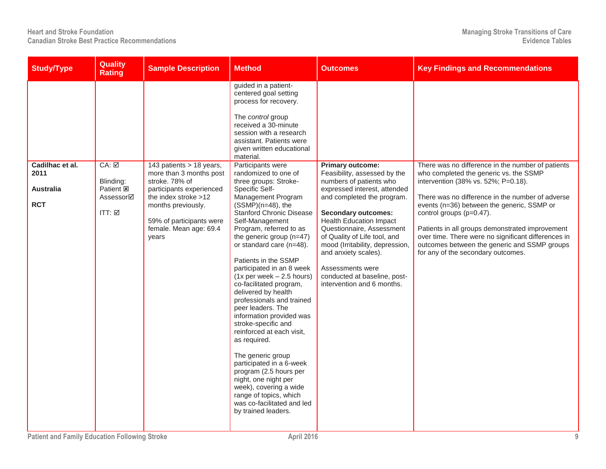| <b>Study/Type</b>                                         | <b>Quality</b><br><b>Rating</b>                                                      | <b>Sample Description</b>                                                                                                                                                                                      | <b>Method</b>                                                                                                                                                                                                                                                                                                                                                                                                                                                                                                                                                                                                                                                                                                                                                                                                                                                                                                                                                                                           | <b>Outcomes</b>                                                                                                                                                                                                                                                                                                                                                                                                            | <b>Key Findings and Recommendations</b>                                                                                                                                                                                                                                                                                                                                                                                                                          |
|-----------------------------------------------------------|--------------------------------------------------------------------------------------|----------------------------------------------------------------------------------------------------------------------------------------------------------------------------------------------------------------|---------------------------------------------------------------------------------------------------------------------------------------------------------------------------------------------------------------------------------------------------------------------------------------------------------------------------------------------------------------------------------------------------------------------------------------------------------------------------------------------------------------------------------------------------------------------------------------------------------------------------------------------------------------------------------------------------------------------------------------------------------------------------------------------------------------------------------------------------------------------------------------------------------------------------------------------------------------------------------------------------------|----------------------------------------------------------------------------------------------------------------------------------------------------------------------------------------------------------------------------------------------------------------------------------------------------------------------------------------------------------------------------------------------------------------------------|------------------------------------------------------------------------------------------------------------------------------------------------------------------------------------------------------------------------------------------------------------------------------------------------------------------------------------------------------------------------------------------------------------------------------------------------------------------|
| Cadilhac et al.<br>2011<br><b>Australia</b><br><b>RCT</b> | $CA: \overline{M}$<br>Blinding:<br>Patient <b>E</b><br>Assessor⊠<br>ITT: $\boxtimes$ | 143 patients > 18 years,<br>more than 3 months post<br>stroke. 78% of<br>participants experienced<br>the index stroke >12<br>months previously.<br>59% of participants were<br>female. Mean age: 69.4<br>vears | guided in a patient-<br>centered goal setting<br>process for recovery.<br>The control group<br>received a 30-minute<br>session with a research<br>assistant. Patients were<br>given written educational<br>material.<br>Participants were<br>randomized to one of<br>three groups: Stroke-<br>Specific Self-<br>Management Program<br>$(SSMP)(n=48)$ , the<br><b>Stanford Chronic Disease</b><br>Self-Management<br>Program, referred to as<br>the generic group (n=47)<br>or standard care (n=48).<br>Patients in the SSMP<br>participated in an 8 week<br>$(1x per week - 2.5 hours)$<br>co-facilitated program,<br>delivered by health<br>professionals and trained<br>peer leaders. The<br>information provided was<br>stroke-specific and<br>reinforced at each visit,<br>as required.<br>The generic group<br>participated in a 6-week<br>program (2.5 hours per<br>night, one night per<br>week), covering a wide<br>range of topics, which<br>was co-facilitated and led<br>by trained leaders. | <b>Primary outcome:</b><br>Feasibility, assessed by the<br>numbers of patients who<br>expressed interest, attended<br>and completed the program.<br><b>Secondary outcomes:</b><br><b>Health Education Impact</b><br>Questionnaire, Assessment<br>of Quality of Life tool, and<br>mood (Irritability, depression,<br>and anxiety scales).<br>Assessments were<br>conducted at baseline, post-<br>intervention and 6 months. | There was no difference in the number of patients<br>who completed the generic vs. the SSMP<br>intervention (38% vs. 52%; P=0.18).<br>There was no difference in the number of adverse<br>events (n=36) between the generic, SSMP or<br>control groups (p=0.47).<br>Patients in all groups demonstrated improvement<br>over time. There were no significant differences in<br>outcomes between the generic and SSMP groups<br>for any of the secondary outcomes. |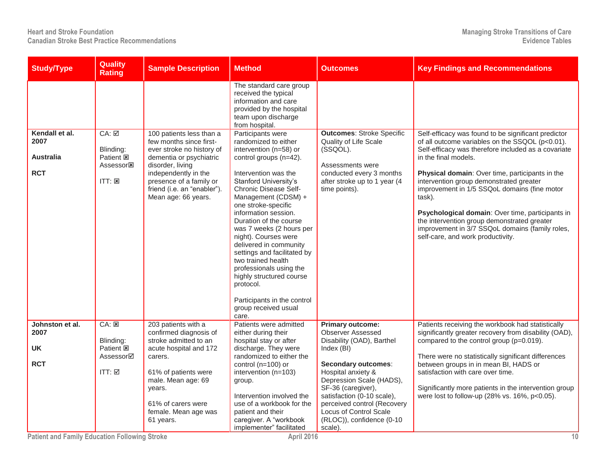| <b>Study/Type</b>                                        | <b>Quality</b><br><b>Rating</b>                                                     | <b>Sample Description</b>                                                                                                                                                                                                                | Method                                                                                                                                                                                                                                                                                                                                                                                                                                                                                                                                                                                                                                                                                                | <b>Outcomes</b>                                                                                                                                                        | <b>Key Findings and Recommendations</b>                                                                                                                                                                                                                                                                                                                                                                                                                                                                                                  |
|----------------------------------------------------------|-------------------------------------------------------------------------------------|------------------------------------------------------------------------------------------------------------------------------------------------------------------------------------------------------------------------------------------|-------------------------------------------------------------------------------------------------------------------------------------------------------------------------------------------------------------------------------------------------------------------------------------------------------------------------------------------------------------------------------------------------------------------------------------------------------------------------------------------------------------------------------------------------------------------------------------------------------------------------------------------------------------------------------------------------------|------------------------------------------------------------------------------------------------------------------------------------------------------------------------|------------------------------------------------------------------------------------------------------------------------------------------------------------------------------------------------------------------------------------------------------------------------------------------------------------------------------------------------------------------------------------------------------------------------------------------------------------------------------------------------------------------------------------------|
| Kendall et al.<br>2007<br><b>Australia</b><br><b>RCT</b> | CA: ☑<br>Blinding:<br>Patient <b>図</b><br>Assessor <sup>E</sup><br>$ITT: \boxtimes$ | 100 patients less than a<br>few months since first-<br>ever stroke no history of<br>dementia or psychiatric<br>disorder, living<br>independently in the<br>presence of a family or<br>friend (i.e. an "enabler").<br>Mean age: 66 years. | The standard care group<br>received the typical<br>information and care<br>provided by the hospital<br>team upon discharge<br>from hospital.<br>Participants were<br>randomized to either<br>intervention (n=58) or<br>control groups (n=42).<br>Intervention was the<br><b>Stanford University's</b><br>Chronic Disease Self-<br>Management (CDSM) +<br>one stroke-specific<br>information session.<br>Duration of the course<br>was 7 weeks (2 hours per<br>night). Courses were<br>delivered in community<br>settings and facilitated by<br>two trained health<br>professionals using the<br>highly structured course<br>protocol.<br>Participants in the control<br>group received usual<br>care. | <b>Outcomes: Stroke Specific</b><br>Quality of Life Scale<br>(SSQOL).<br>Assessments were<br>conducted every 3 months<br>after stroke up to 1 year (4<br>time points). | Self-efficacy was found to be significant predictor<br>of all outcome variables on the SSQOL (p<0.01).<br>Self-efficacy was therefore included as a covariate<br>in the final models.<br>Physical domain: Over time, participants in the<br>intervention group demonstrated greater<br>improvement in 1/5 SSQoL domains (fine motor<br>task).<br>Psychological domain: Over time, participants in<br>the intervention group demonstrated greater<br>improvement in 3/7 SSQoL domains (family roles,<br>self-care, and work productivity. |
| Johnston et al.<br>2007<br>UK                            | CA: 25<br>Blinding:<br>Patient <b>E</b>                                             | 203 patients with a<br>confirmed diagnosis of<br>stroke admitted to an                                                                                                                                                                   | Patients were admitted<br>either during their<br>hospital stay or after                                                                                                                                                                                                                                                                                                                                                                                                                                                                                                                                                                                                                               | <b>Primary outcome:</b><br><b>Observer Assessed</b><br>Disability (OAD), Barthel                                                                                       | Patients receiving the workbook had statistically<br>significantly greater recovery from disability (OAD),<br>compared to the control group (p=0.019).                                                                                                                                                                                                                                                                                                                                                                                   |
|                                                          | Assessor⊠                                                                           | acute hospital and 172<br>carers.                                                                                                                                                                                                        | discharge. They were<br>randomized to either the                                                                                                                                                                                                                                                                                                                                                                                                                                                                                                                                                                                                                                                      | Index (BI)                                                                                                                                                             | There were no statistically significant differences                                                                                                                                                                                                                                                                                                                                                                                                                                                                                      |
| <b>RCT</b>                                               |                                                                                     |                                                                                                                                                                                                                                          | control (n=100) or                                                                                                                                                                                                                                                                                                                                                                                                                                                                                                                                                                                                                                                                                    | <b>Secondary outcomes:</b>                                                                                                                                             | between groups in in mean BI, HADS or                                                                                                                                                                                                                                                                                                                                                                                                                                                                                                    |
|                                                          | ITT: ☑                                                                              | 61% of patients were<br>male. Mean age: 69                                                                                                                                                                                               | intervention (n=103)                                                                                                                                                                                                                                                                                                                                                                                                                                                                                                                                                                                                                                                                                  | Hospital anxiety &<br>Depression Scale (HADS),                                                                                                                         | satisfaction with care over time.                                                                                                                                                                                                                                                                                                                                                                                                                                                                                                        |
|                                                          |                                                                                     | years.<br>61% of carers were<br>female. Mean age was<br>61 years.                                                                                                                                                                        | group.<br>Intervention involved the<br>use of a workbook for the<br>patient and their<br>caregiver. A "workbook<br>implementer" facilitated                                                                                                                                                                                                                                                                                                                                                                                                                                                                                                                                                           | SF-36 (caregiver),<br>satisfaction (0-10 scale),<br>perceived control (Recovery<br>Locus of Control Scale<br>(RLOC)), confidence (0-10<br>scale).                      | Significantly more patients in the intervention group<br>were lost to follow-up (28% vs. 16%, p<0.05).                                                                                                                                                                                                                                                                                                                                                                                                                                   |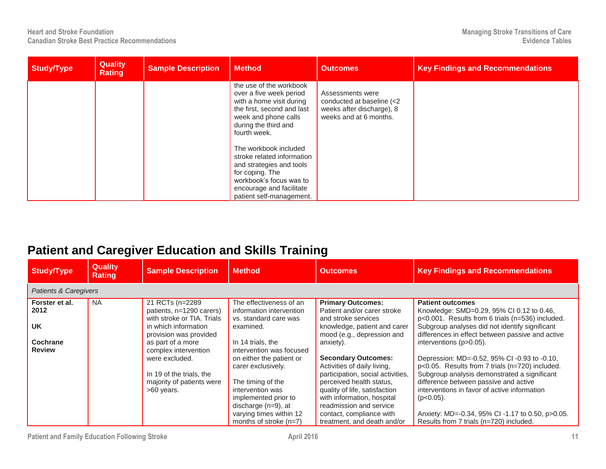| Study/Type | <b>Quality</b><br><b>Rating</b> | <b>Sample Description</b> | <b>Method</b>                                                                                                                                                                                                                                                                                                                                                         | <b>Outcomes</b>                                                                                      | <b>Key Findings and Recommendations</b> |
|------------|---------------------------------|---------------------------|-----------------------------------------------------------------------------------------------------------------------------------------------------------------------------------------------------------------------------------------------------------------------------------------------------------------------------------------------------------------------|------------------------------------------------------------------------------------------------------|-----------------------------------------|
|            |                                 |                           | the use of the workbook<br>over a five week period<br>with a home visit during<br>the first, second and last<br>week and phone calls<br>during the third and<br>fourth week.<br>The workbook included<br>stroke related information<br>and strategies and tools<br>for coping. The<br>workbook's focus was to<br>encourage and facilitate<br>patient self-management. | Assessments were<br>conducted at baseline (<2<br>weeks after discharge), 8<br>weeks and at 6 months. |                                         |

## **Patient and Caregiver Education and Skills Training**

| <b>Study/Type</b>                | <b>Quality</b><br><b>Rating</b>  | <b>Sample Description</b>                                                 | <b>Method</b>                                                                | <b>Outcomes</b>                                                                                | <b>Key Findings and Recommendations</b>                                                                                               |  |  |  |  |  |
|----------------------------------|----------------------------------|---------------------------------------------------------------------------|------------------------------------------------------------------------------|------------------------------------------------------------------------------------------------|---------------------------------------------------------------------------------------------------------------------------------------|--|--|--|--|--|
|                                  | <b>Patients &amp; Caregivers</b> |                                                                           |                                                                              |                                                                                                |                                                                                                                                       |  |  |  |  |  |
| Forster et al.<br>2012           | <b>NA</b>                        | 21 RCTs (n=2289<br>patients, n=1290 carers)<br>with stroke or TIA. Trials | The effectiveness of an<br>information intervention<br>vs. standard care was | <b>Primary Outcomes:</b><br>Patient and/or carer stroke<br>and stroke services                 | <b>Patient outcomes</b><br>Knowledge: SMD=0.29, 95% CI 0.12 to 0.46,<br>p<0.001. Results from 6 trials (n=536) included.              |  |  |  |  |  |
| <b>UK</b>                        |                                  | in which information<br>provision was provided                            | examined.                                                                    | knowledge, patient and carer<br>mood (e.g., depression and                                     | Subgroup analyses did not identify significant<br>differences in effect between passive and active                                    |  |  |  |  |  |
| <b>Cochrane</b><br><b>Review</b> |                                  | as part of a more<br>complex intervention                                 | In 14 trials, the<br>intervention was focused                                | anxiety).                                                                                      | interventions (p>0.05).                                                                                                               |  |  |  |  |  |
|                                  |                                  | were excluded.                                                            | on either the patient or<br>carer exclusively.                               | <b>Secondary Outcomes:</b><br>Activities of daily living,                                      | Depression: MD=-0.52, 95% CI -0.93 to -0.10,<br>p<0.05. Results from 7 trials (n=720) included.                                       |  |  |  |  |  |
|                                  |                                  | In 19 of the trials, the<br>majority of patients were<br>>60 years.       | The timing of the<br>intervention was                                        | participation, social activities,<br>perceived health status,<br>quality of life, satisfaction | Subgroup analysis demonstrated a significant<br>difference between passive and active<br>interventions in favor of active information |  |  |  |  |  |
|                                  |                                  |                                                                           | implemented prior to<br>discharge $(n=9)$ , at                               | with information, hospital<br>readmission and service                                          | $(p<0.05)$ .                                                                                                                          |  |  |  |  |  |
|                                  |                                  |                                                                           | varying times within 12<br>months of stroke $(n=7)$                          | contact, compliance with<br>treatment, and death and/or                                        | Anxiety: MD=-0.34, 95% CI -1.17 to 0.50, p>0.05.<br>Results from 7 trials (n=720) included.                                           |  |  |  |  |  |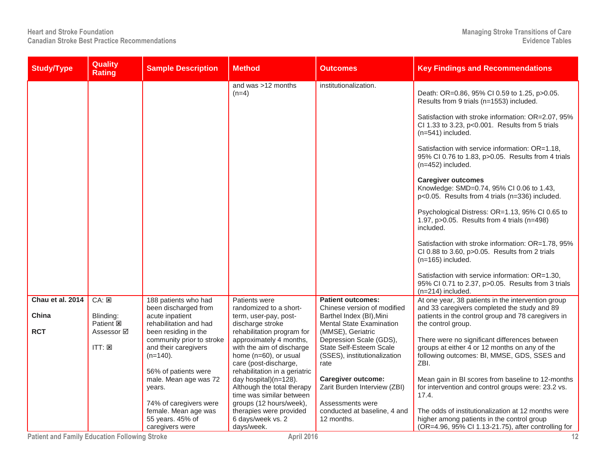| <b>Study/Type</b> | <b>Quality</b><br><b>Rating</b> | <b>Sample Description</b>                      | <b>Method</b>                                       | <b>Outcomes</b>                                      | <b>Key Findings and Recommendations</b>                                                                                      |
|-------------------|---------------------------------|------------------------------------------------|-----------------------------------------------------|------------------------------------------------------|------------------------------------------------------------------------------------------------------------------------------|
|                   |                                 |                                                | and was >12 months<br>$(n=4)$                       | institutionalization.                                | Death: OR=0.86, 95% CI 0.59 to 1.25, p>0.05.<br>Results from 9 trials (n=1553) included.                                     |
|                   |                                 |                                                |                                                     |                                                      | Satisfaction with stroke information: OR=2.07, 95%<br>CI 1.33 to 3.23, p<0.001. Results from 5 trials<br>(n=541) included.   |
|                   |                                 |                                                |                                                     |                                                      | Satisfaction with service information: OR=1.18,<br>95% CI 0.76 to 1.83, p>0.05. Results from 4 trials<br>$(n=452)$ included. |
|                   |                                 |                                                |                                                     |                                                      | <b>Caregiver outcomes</b><br>Knowledge: SMD=0.74, 95% CI 0.06 to 1.43,<br>p<0.05. Results from 4 trials (n=336) included.    |
|                   |                                 |                                                |                                                     |                                                      | Psychological Distress: OR=1.13, 95% CI 0.65 to<br>1.97, $p > 0.05$ . Results from 4 trials (n=498)<br>included.             |
|                   |                                 |                                                |                                                     |                                                      | Satisfaction with stroke information: OR=1.78, 95%<br>CI 0.88 to 3.60, p>0.05. Results from 2 trials<br>$(n=165)$ included.  |
|                   |                                 |                                                |                                                     |                                                      | Satisfaction with service information: OR=1.30,<br>95% CI 0.71 to 2.37, p>0.05. Results from 3 trials<br>$(n=214)$ included. |
| Chau et al. 2014  | CA: E                           | 188 patients who had                           | Patients were                                       | <b>Patient outcomes:</b>                             | At one year, 38 patients in the intervention group                                                                           |
|                   |                                 | been discharged from                           | randomized to a short-                              | Chinese version of modified                          | and 33 caregivers completed the study and 89                                                                                 |
| China             | Blinding:                       | acute inpatient                                | term, user-pay, post-                               | Barthel Index (BI), Mini                             | patients in the control group and 78 caregivers in                                                                           |
| <b>RCT</b>        | Patient <b>図</b><br>Assessor ☑  | rehabilitation and had<br>been residing in the | discharge stroke<br>rehabilitation program for      | <b>Mental State Examination</b><br>(MMSE), Geriatric | the control group.                                                                                                           |
|                   |                                 | community prior to stroke                      | approximately 4 months,                             | Depression Scale (GDS),                              | There were no significant differences between                                                                                |
|                   | ITT: <b>z</b>                   | and their caregivers                           | with the aim of discharge                           | State Self-Esteem Scale                              | groups at either 4 or 12 months on any of the                                                                                |
|                   |                                 | $(n=140)$ .                                    | home (n=60), or usual                               | (SSES), institutionalization                         | following outcomes: BI, MMSE, GDS, SSES and                                                                                  |
|                   |                                 |                                                | care (post-discharge,                               | rate                                                 | ZBI.                                                                                                                         |
|                   |                                 | 56% of patients were                           | rehabilitation in a geriatric                       |                                                      |                                                                                                                              |
|                   |                                 | male. Mean age was 72<br>years.                | day hospital)(n=128).<br>Although the total therapy | Caregiver outcome:<br>Zarit Burden Interview (ZBI)   | Mean gain in BI scores from baseline to 12-months<br>for intervention and control groups were: 23.2 vs.                      |
|                   |                                 |                                                | time was similar between                            |                                                      | 17.4.                                                                                                                        |
|                   |                                 | 74% of caregivers were                         | groups (12 hours/week),                             | Assessments were                                     |                                                                                                                              |
|                   |                                 | female. Mean age was                           | therapies were provided                             | conducted at baseline, 4 and                         | The odds of institutionalization at 12 months were                                                                           |
|                   |                                 | 55 years. 45% of                               | 6 days/week vs. 2                                   | 12 months.                                           | higher among patients in the control group                                                                                   |
|                   |                                 | caregivers were                                | days/week.                                          |                                                      | (OR=4.96, 95% CI 1.13-21.75), after controlling for                                                                          |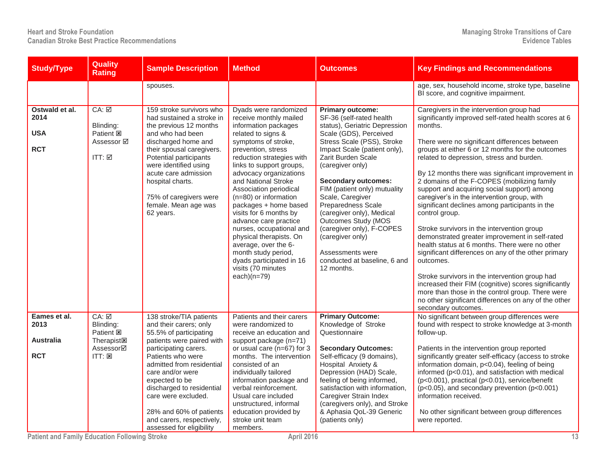| <b>Study/Type</b>                                      | <b>Quality</b><br><b>Rating</b>                                                                     | <b>Sample Description</b>                                                                                                                                                                                                                                                                                                                                         | <b>Method</b>                                                                                                                                                                                                                                                                                                                                                                                                                                                                                                                                                  | <b>Outcomes</b>                                                                                                                                                                                                                                                                                                                                                                                                                                                                                       | <b>Key Findings and Recommendations</b>                                                                                                                                                                                                                                                                                                                                                                                                                                                                                                                                                                                                                                                                                                                                                                                                                                                                                                                                                                |
|--------------------------------------------------------|-----------------------------------------------------------------------------------------------------|-------------------------------------------------------------------------------------------------------------------------------------------------------------------------------------------------------------------------------------------------------------------------------------------------------------------------------------------------------------------|----------------------------------------------------------------------------------------------------------------------------------------------------------------------------------------------------------------------------------------------------------------------------------------------------------------------------------------------------------------------------------------------------------------------------------------------------------------------------------------------------------------------------------------------------------------|-------------------------------------------------------------------------------------------------------------------------------------------------------------------------------------------------------------------------------------------------------------------------------------------------------------------------------------------------------------------------------------------------------------------------------------------------------------------------------------------------------|--------------------------------------------------------------------------------------------------------------------------------------------------------------------------------------------------------------------------------------------------------------------------------------------------------------------------------------------------------------------------------------------------------------------------------------------------------------------------------------------------------------------------------------------------------------------------------------------------------------------------------------------------------------------------------------------------------------------------------------------------------------------------------------------------------------------------------------------------------------------------------------------------------------------------------------------------------------------------------------------------------|
|                                                        |                                                                                                     | spouses.                                                                                                                                                                                                                                                                                                                                                          |                                                                                                                                                                                                                                                                                                                                                                                                                                                                                                                                                                |                                                                                                                                                                                                                                                                                                                                                                                                                                                                                                       | age, sex, household income, stroke type, baseline<br>BI score, and cognitive impairment.                                                                                                                                                                                                                                                                                                                                                                                                                                                                                                                                                                                                                                                                                                                                                                                                                                                                                                               |
| Ostwald et al.<br>2014<br><b>USA</b><br><b>RCT</b>     | $CA: \boxed{2}$<br>Blinding:<br>Patient <b>図</b><br>Assessor ☑<br>ITT: $\boxtimes$                  | 159 stroke survivors who<br>had sustained a stroke in<br>the previous 12 months<br>and who had been<br>discharged home and<br>their spousal caregivers.<br>Potential participants<br>were identified using<br>acute care admission<br>hospital charts.<br>75% of caregivers were<br>female. Mean age was<br>62 years.                                             | Dyads were randomized<br>receive monthly mailed<br>information packages<br>related to signs &<br>symptoms of stroke,<br>prevention, stress<br>reduction strategies with<br>links to support groups,<br>advocacy organizations<br>and National Stroke<br>Association periodical<br>$(n=80)$ or information<br>packages + home based<br>visits for 6 months by<br>advance care practice<br>nurses, occupational and<br>physical therapists. On<br>average, over the 6-<br>month study period,<br>dyads participated in 16<br>visits (70 minutes<br>$each)(n=79)$ | <b>Primary outcome:</b><br>SF-36 (self-rated health<br>status), Geriatric Depression<br>Scale (GDS), Perceived<br>Stress Scale (PSS), Stroke<br>Impact Scale (patient only),<br>Zarit Burden Scale<br>(caregiver only)<br><b>Secondary outcomes:</b><br>FIM (patient only) mutuality<br>Scale, Caregiver<br>Preparedness Scale<br>(caregiver only), Medical<br>Outcomes Study (MOS<br>(caregiver only), F-COPES<br>(caregiver only)<br>Assessments were<br>conducted at baseline, 6 and<br>12 months. | Caregivers in the intervention group had<br>significantly improved self-rated health scores at 6<br>months.<br>There were no significant differences between<br>groups at either 6 or 12 months for the outcomes<br>related to depression, stress and burden.<br>By 12 months there was significant improvement in<br>2 domains of the F-COPES (mobilizing family<br>support and acquiring social support) among<br>caregiver's in the intervention group, with<br>significant declines among participants in the<br>control group.<br>Stroke survivors in the intervention group<br>demonstrated greater improvement in self-rated<br>health status at 6 months. There were no other<br>significant differences on any of the other primary<br>outcomes.<br>Stroke survivors in the intervention group had<br>increased their FIM (cognitive) scores significantly<br>more than those in the control group. There were<br>no other significant differences on any of the other<br>secondary outcomes. |
| Eames et al.<br>2013<br><b>Australia</b><br><b>RCT</b> | $CA: \nabla$<br>Blinding:<br>Patient <b>図</b><br><b>Therapist図</b><br>Assessor⊠<br>$ITT: \boxtimes$ | 138 stroke/TIA patients<br>and their carers; only<br>55.5% of participating<br>patients were paired with<br>participating carers.<br>Patients who were<br>admitted from residential<br>care and/or were<br>expected to be<br>discharged to residential<br>care were excluded.<br>28% and 60% of patients<br>and carers, respectively,<br>assessed for eligibility | Patients and their carers<br>were randomized to<br>receive an education and<br>support package (n=71)<br>or usual care (n=67) for 3<br>months. The intervention<br>consisted of an<br>individually tailored<br>information package and<br>verbal reinforcement.<br>Usual care included<br>unstructured, informal<br>education provided by<br>stroke unit team<br>members.                                                                                                                                                                                      | <b>Primary Outcome:</b><br>Knowledge of Stroke<br>Questionnaire<br><b>Secondary Outcomes:</b><br>Self-efficacy (9 domains),<br>Hospital Anxiety &<br>Depression (HAD) Scale,<br>feeling of being informed,<br>satisfaction with information,<br>Caregiver Strain Index<br>(caregivers only), and Stroke<br>& Aphasia QoL-39 Generic<br>(patients only)                                                                                                                                                | No significant between group differences were<br>found with respect to stroke knowledge at 3-month<br>follow-up.<br>Patients in the intervention group reported<br>significantly greater self-efficacy (access to stroke<br>information domain, p<0.04), feeling of being<br>informed (p<0.01), and satisfaction with medical<br>(p<0.001), practical (p<0.01), service/benefit<br>$(p<0.05)$ , and secondary prevention $(p<0.001)$<br>information received.<br>No other significant between group differences<br>were reported.                                                                                                                                                                                                                                                                                                                                                                                                                                                                      |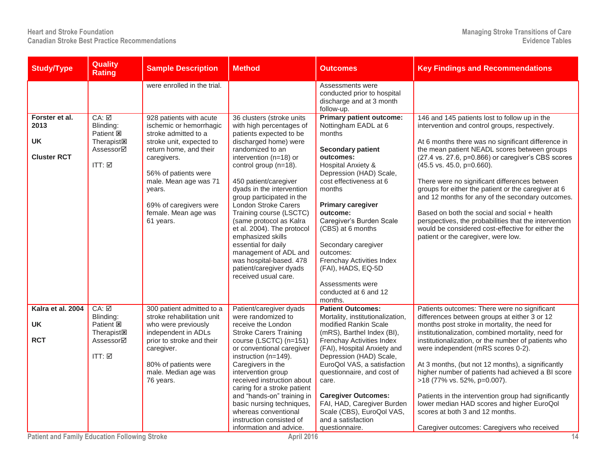| <b>Study/Type</b>                                         | <b>Quality</b><br><b>Rating</b>                                                                                                    | <b>Sample Description</b>                                                                                                                                                                                                                                                 | <b>Method</b>                                                                                                                                                                                                                                                                                                                                                                                                                                                                                                                             | <b>Outcomes</b>                                                                                                                                                                                                                                                                                                                                                                                                                          | <b>Key Findings and Recommendations</b>                                                                                                                                                                                                                                                                                                                                                                                                                                                                                                                                                                                                                   |
|-----------------------------------------------------------|------------------------------------------------------------------------------------------------------------------------------------|---------------------------------------------------------------------------------------------------------------------------------------------------------------------------------------------------------------------------------------------------------------------------|-------------------------------------------------------------------------------------------------------------------------------------------------------------------------------------------------------------------------------------------------------------------------------------------------------------------------------------------------------------------------------------------------------------------------------------------------------------------------------------------------------------------------------------------|------------------------------------------------------------------------------------------------------------------------------------------------------------------------------------------------------------------------------------------------------------------------------------------------------------------------------------------------------------------------------------------------------------------------------------------|-----------------------------------------------------------------------------------------------------------------------------------------------------------------------------------------------------------------------------------------------------------------------------------------------------------------------------------------------------------------------------------------------------------------------------------------------------------------------------------------------------------------------------------------------------------------------------------------------------------------------------------------------------------|
|                                                           |                                                                                                                                    | were enrolled in the trial.                                                                                                                                                                                                                                               |                                                                                                                                                                                                                                                                                                                                                                                                                                                                                                                                           | Assessments were<br>conducted prior to hospital<br>discharge and at 3 month<br>follow-up.                                                                                                                                                                                                                                                                                                                                                |                                                                                                                                                                                                                                                                                                                                                                                                                                                                                                                                                                                                                                                           |
| Forster et al.<br>2013<br><b>UK</b><br><b>Cluster RCT</b> | CA: ☑<br>Blinding:<br>Patient <b>E</b><br>Therapist <sub>[8]</sub><br>Assessor⊠<br>ITT: $\boxtimes$                                | 928 patients with acute<br>ischemic or hemorrhagic<br>stroke admitted to a<br>stroke unit, expected to<br>return home, and their<br>caregivers.<br>56% of patients were<br>male. Mean age was 71<br>years.<br>69% of caregivers were<br>female. Mean age was<br>61 years. | 36 clusters (stroke units<br>with high percentages of<br>patients expected to be<br>discharged home) were<br>randomized to an<br>intervention (n=18) or<br>control group (n=18).<br>450 patient/caregiver<br>dyads in the intervention<br>group participated in the<br><b>London Stroke Carers</b><br>Training course (LSCTC)<br>(same protocol as Kalra<br>et al. 2004). The protocol<br>emphasized skills<br>essential for daily<br>management of ADL and<br>was hospital-based. 478<br>patient/caregiver dyads<br>received usual care. | <b>Primary patient outcome:</b><br>Nottingham EADL at 6<br>months<br><b>Secondary patient</b><br>outcomes:<br>Hospital Anxiety &<br>Depression (HAD) Scale,<br>cost effectiveness at 6<br>months<br><b>Primary caregiver</b><br>outcome:<br>Caregiver's Burden Scale<br>(CBS) at 6 months<br>Secondary caregiver<br>outcomes:<br>Frenchay Activities Index<br>(FAI), HADS, EQ-5D<br>Assessments were<br>conducted at 6 and 12<br>months. | 146 and 145 patients lost to follow up in the<br>intervention and control groups, respectively.<br>At 6 months there was no significant difference in<br>the mean patient NEADL scores between groups<br>(27.4 vs. 27.6, p=0.866) or caregiver's CBS scores<br>(45.5 vs. 45.0, p=0.660).<br>There were no significant differences between<br>groups for either the patient or the caregiver at 6<br>and 12 months for any of the secondary outcomes.<br>Based on both the social and social + health<br>perspectives, the probabilities that the intervention<br>would be considered cost-effective for either the<br>patient or the caregiver, were low. |
| Kalra et al. 2004<br><b>UK</b><br><b>RCT</b>              | $CA: \nabla$<br>Blinding:<br>Patient <sup>Es</sup><br>Therapist <sub><math>\boxtimes</math></sub><br>Assessor⊠<br>ITT: $\boxtimes$ | 300 patient admitted to a<br>stroke rehabilitation unit<br>who were previously<br>independent in ADLs<br>prior to stroke and their<br>caregiver.<br>80% of patients were<br>male. Median age was<br>76 years.                                                             | Patient/caregiver dyads<br>were randomized to<br>receive the London<br><b>Stroke Carers Training</b><br>course (LSCTC) (n=151)<br>or conventional caregiver<br>instruction (n=149).<br>Caregivers in the<br>intervention group<br>received instruction about<br>caring for a stroke patient<br>and "hands-on" training in<br>basic nursing techniques,<br>whereas conventional<br>instruction consisted of<br>information and advice.                                                                                                     | <b>Patient Outcomes:</b><br>Mortality, institutionalization,<br>modified Rankin Scale<br>(mRS), Barthel Index (BI),<br>Frenchay Activities Index<br>(FAI), Hospital Anxiety and<br>Depression (HAD) Scale,<br>EuroQol VAS, a satisfaction<br>questionnaire, and cost of<br>care.<br><b>Caregiver Outcomes:</b><br>FAI, HAD, Caregiver Burden<br>Scale (CBS), EuroQol VAS,<br>and a satisfaction<br>questionnaire.                        | Patients outcomes: There were no significant<br>differences between groups at either 3 or 12<br>months post stroke in mortality, the need for<br>institutionalization, combined mortality, need for<br>institutionalization, or the number of patients who<br>were independent (mRS scores 0-2).<br>At 3 months, (but not 12 months), a significantly<br>higher number of patients had achieved a BI score<br>>18 (77% vs. 52%, p=0.007).<br>Patients in the intervention group had significantly<br>lower median HAD scores and higher EuroQol<br>scores at both 3 and 12 months.<br>Caregiver outcomes: Caregivers who received                         |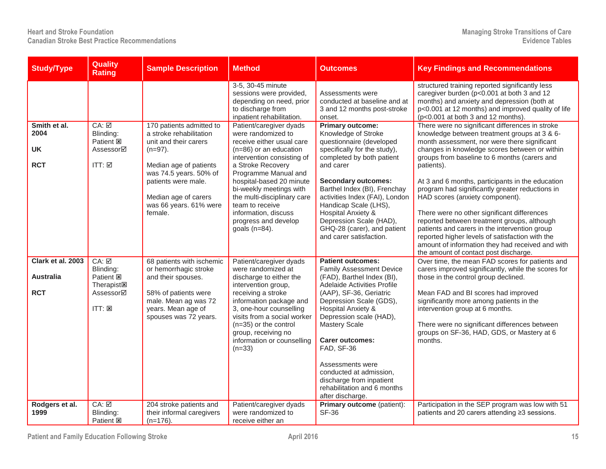| <b>Study/Type</b>                                   | <b>Quality</b><br><b>Rating</b>                                                                                       | <b>Sample Description</b>                                                                                                                                               | <b>Method</b>                                                                                                                                                                                                                                                                                        | Outcomes                                                                                                                                                                                                                                                                                                                                                  | <b>Key Findings and Recommendations</b>                                                                                                                                                                                                                                                                                                                                        |
|-----------------------------------------------------|-----------------------------------------------------------------------------------------------------------------------|-------------------------------------------------------------------------------------------------------------------------------------------------------------------------|------------------------------------------------------------------------------------------------------------------------------------------------------------------------------------------------------------------------------------------------------------------------------------------------------|-----------------------------------------------------------------------------------------------------------------------------------------------------------------------------------------------------------------------------------------------------------------------------------------------------------------------------------------------------------|--------------------------------------------------------------------------------------------------------------------------------------------------------------------------------------------------------------------------------------------------------------------------------------------------------------------------------------------------------------------------------|
|                                                     |                                                                                                                       |                                                                                                                                                                         | 3-5, 30-45 minute<br>sessions were provided,<br>depending on need, prior<br>to discharge from<br>inpatient rehabilitation.                                                                                                                                                                           | Assessments were<br>conducted at baseline and at<br>3 and 12 months post-stroke<br>onset.                                                                                                                                                                                                                                                                 | structured training reported significantly less<br>caregiver burden (p<0.001 at both 3 and 12<br>months) and anxiety and depression (both at<br>p<0.001 at 12 months) and improved quality of life<br>$(p<0.001$ at both 3 and 12 months).                                                                                                                                     |
| Smith et al.<br>2004<br><b>UK</b><br><b>RCT</b>     | $CA: \boxed{2}$<br>Blinding:<br>Patient <b>図</b><br>Assessor⊠<br>ITT: ☑                                               | 170 patients admitted to<br>a stroke rehabilitation<br>unit and their carers<br>$(n=97)$ .<br>Median age of patients<br>was 74.5 years. 50% of<br>patients were male.   | Patient/caregiver dyads<br>were randomized to<br>receive either usual care<br>(n=86) or an education<br>intervention consisting of<br>a Stroke Recovery<br>Programme Manual and<br>hospital-based 20 minute<br>bi-weekly meetings with                                                               | <b>Primary outcome:</b><br>Knowledge of Stroke<br>questionnaire (developed<br>specifically for the study),<br>completed by both patient<br>and carer<br><b>Secondary outcomes:</b><br>Barthel Index (BI), Frenchay                                                                                                                                        | There were no significant differences in stroke<br>knowledge between treatment groups at 3 & 6-<br>month assessment, nor were there significant<br>changes in knowledge scores between or within<br>groups from baseline to 6 months (carers and<br>patients).<br>At 3 and 6 months, participants in the education<br>program had significantly greater reductions in          |
|                                                     |                                                                                                                       | Median age of carers<br>was 66 years. 61% were<br>female.                                                                                                               | the multi-disciplinary care<br>team to receive<br>information, discuss<br>progress and develop<br>goals $(n=84)$ .                                                                                                                                                                                   | activities Index (FAI), London<br>Handicap Scale (LHS),<br>Hospital Anxiety &<br>Depression Scale (HAD),<br>GHQ-28 (carer), and patient<br>and carer satisfaction.                                                                                                                                                                                        | HAD scores (anxiety component).<br>There were no other significant differences<br>reported between treatment groups, although<br>patients and carers in the intervention group<br>reported higher levels of satisfaction with the<br>amount of information they had received and with<br>the amount of contact post discharge.                                                 |
| Clark et al. 2003<br><b>Australia</b><br><b>RCT</b> | $CA: \Box$<br>Blinding:<br>Patient <b>図</b><br>Therapist <sub><math>\Xi</math></sub><br>Assessor⊠<br>$ITT: \boxtimes$ | 68 patients with ischemic<br>or hemorrhagic stroke<br>and their spouses.<br>58% of patients were<br>male. Mean ag was 72<br>years. Mean age of<br>spouses was 72 years. | Patient/caregiver dyads<br>were randomized at<br>discharge to either the<br>intervention group,<br>receiving a stroke<br>information package and<br>3, one-hour counselling<br>visits from a social worker<br>(n=35) or the control<br>group, receiving no<br>information or counselling<br>$(n=33)$ | <b>Patient outcomes:</b><br><b>Family Assessment Device</b><br>(FAD), Barthel Index (BI),<br>Adelaide Activities Profile<br>(AAP), SF-36, Geriatric<br>Depression Scale (GDS),<br><b>Hospital Anxiety &amp;</b><br>Depression scale (HAD),<br><b>Mastery Scale</b><br><b>Carer outcomes:</b><br>FAD, SF-36<br>Assessments were<br>conducted at admission, | Over time, the mean FAD scores for patients and<br>carers improved significantly, while the scores for<br>those in the control group declined.<br>Mean FAD and BI scores had improved<br>significantly more among patients in the<br>intervention group at 6 months.<br>There were no significant differences between<br>groups on SF-36, HAD, GDS, or Mastery at 6<br>months. |
| Rodgers et al.<br>1999                              | CA: ☑<br>Blinding:<br>Patient E                                                                                       | 204 stroke patients and<br>their informal caregivers<br>$(n=176)$ .                                                                                                     | Patient/caregiver dyads<br>were randomized to<br>receive either an                                                                                                                                                                                                                                   | discharge from inpatient<br>rehabilitation and 6 months<br>after discharge.<br>Primary outcome (patient):<br><b>SF-36</b>                                                                                                                                                                                                                                 | Participation in the SEP program was low with 51<br>patients and 20 carers attending ≥3 sessions.                                                                                                                                                                                                                                                                              |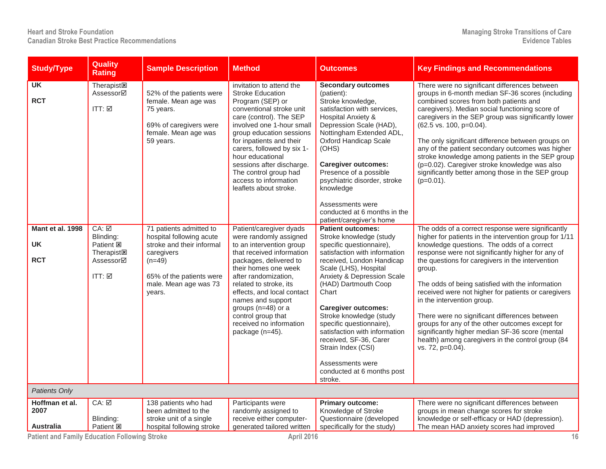| <b>Study/Type</b>                           | Quality<br><b>Rating</b>                                                                             | <b>Sample Description</b>                                                                                                                                                 | <b>Method</b>                                                                                                                                                                                                                                                                                                                                                                  | Outcomes                                                                                                                                                                                                                                                                                                                                                                                                                                                                 | <b>Key Findings and Recommendations</b>                                                                                                                                                                                                                                                                                                                                                                                                                                                                                                                                                                                                               |
|---------------------------------------------|------------------------------------------------------------------------------------------------------|---------------------------------------------------------------------------------------------------------------------------------------------------------------------------|--------------------------------------------------------------------------------------------------------------------------------------------------------------------------------------------------------------------------------------------------------------------------------------------------------------------------------------------------------------------------------|--------------------------------------------------------------------------------------------------------------------------------------------------------------------------------------------------------------------------------------------------------------------------------------------------------------------------------------------------------------------------------------------------------------------------------------------------------------------------|-------------------------------------------------------------------------------------------------------------------------------------------------------------------------------------------------------------------------------------------------------------------------------------------------------------------------------------------------------------------------------------------------------------------------------------------------------------------------------------------------------------------------------------------------------------------------------------------------------------------------------------------------------|
| $\overline{\mathsf{UK}}$<br><b>RCT</b>      | Therapist <sub><math>\boxtimes</math></sub><br>Assessor⊠<br>ITT: $\boxtimes$                         | 52% of the patients were<br>female. Mean age was<br>75 years.<br>69% of caregivers were<br>female. Mean age was<br>59 years.                                              | invitation to attend the<br><b>Stroke Education</b><br>Program (SEP) or<br>conventional stroke unit<br>care (control). The SEP<br>involved one 1-hour small<br>group education sessions<br>for inpatients and their<br>carers, followed by six 1-<br>hour educational<br>sessions after discharge.<br>The control group had<br>access to information<br>leaflets about stroke. | <b>Secondary outcomes</b><br>(patient):<br>Stroke knowledge,<br>satisfaction with services,<br><b>Hospital Anxiety &amp;</b><br>Depression Scale (HAD),<br>Nottingham Extended ADL,<br><b>Oxford Handicap Scale</b><br>(OHS)<br><b>Caregiver outcomes:</b><br>Presence of a possible<br>psychiatric disorder, stroke<br>knowledge                                                                                                                                        | There were no significant differences between<br>groups in 6-month median SF-36 scores (including<br>combined scores from both patients and<br>caregivers). Median social functioning score of<br>caregivers in the SEP group was significantly lower<br>(62.5 vs. 100, p=0.04).<br>The only significant difference between groups on<br>any of the patient secondary outcomes was higher<br>stroke knowledge among patients in the SEP group<br>(p=0.02). Caregiver stroke knowledge was also<br>significantly better among those in the SEP group<br>$(p=0.01)$ .                                                                                   |
|                                             |                                                                                                      |                                                                                                                                                                           |                                                                                                                                                                                                                                                                                                                                                                                | Assessments were<br>conducted at 6 months in the<br>patient/caregiver's home                                                                                                                                                                                                                                                                                                                                                                                             |                                                                                                                                                                                                                                                                                                                                                                                                                                                                                                                                                                                                                                                       |
| Mant et al. 1998<br><b>UK</b><br><b>RCT</b> | $CA: \nabla$<br>Blinding:<br>Patient <b>図</b><br><b>Therapist<sub>E</sub></b><br>Assessor⊠<br>ITT: ☑ | 71 patients admitted to<br>hospital following acute<br>stroke and their informal<br>caregivers<br>$(n=49)$<br>65% of the patients were<br>male. Mean age was 73<br>years. | Patient/caregiver dyads<br>were randomly assigned<br>to an intervention group<br>that received information<br>packages, delivered to<br>their homes one week<br>after randomization,<br>related to stroke, its<br>effects, and local contact<br>names and support<br>groups (n=48) or a<br>control group that<br>received no information<br>package (n=45).                    | <b>Patient outcomes:</b><br>Stroke knowledge (study<br>specific questionnaire),<br>satisfaction with information<br>received, London Handicap<br>Scale (LHS), Hospital<br>Anxiety & Depression Scale<br>(HAD) Dartmouth Coop<br>Chart<br><b>Caregiver outcomes:</b><br>Stroke knowledge (study<br>specific questionnaire),<br>satisfaction with information<br>received, SF-36, Carer<br>Strain Index (CSI)<br>Assessments were<br>conducted at 6 months post<br>stroke. | The odds of a correct response were significantly<br>higher for patients in the intervention group for 1/11<br>knowledge questions. The odds of a correct<br>response were not significantly higher for any of<br>the questions for caregivers in the intervention<br>group.<br>The odds of being satisfied with the information<br>received were not higher for patients or caregivers<br>in the intervention group.<br>There were no significant differences between<br>groups for any of the other outcomes except for<br>significantly higher median SF-36 score (mental<br>health) among caregivers in the control group (84<br>vs. 72, p=0.04). |
| Patients Only                               |                                                                                                      |                                                                                                                                                                           |                                                                                                                                                                                                                                                                                                                                                                                |                                                                                                                                                                                                                                                                                                                                                                                                                                                                          |                                                                                                                                                                                                                                                                                                                                                                                                                                                                                                                                                                                                                                                       |
| Hoffman et al.<br>2007<br><b>Australia</b>  | $CA: \Box$<br>Blinding:<br>Patient <b>図</b>                                                          | 138 patients who had<br>been admitted to the<br>stroke unit of a single<br>hospital following stroke                                                                      | Participants were<br>randomly assigned to<br>receive either computer-<br>generated tailored written                                                                                                                                                                                                                                                                            | <b>Primary outcome:</b><br>Knowledge of Stroke<br>Questionnaire (developed<br>specifically for the study)                                                                                                                                                                                                                                                                                                                                                                | There were no significant differences between<br>groups in mean change scores for stroke<br>knowledge or self-efficacy or HAD (depression).<br>The mean HAD anxiety scores had improved                                                                                                                                                                                                                                                                                                                                                                                                                                                               |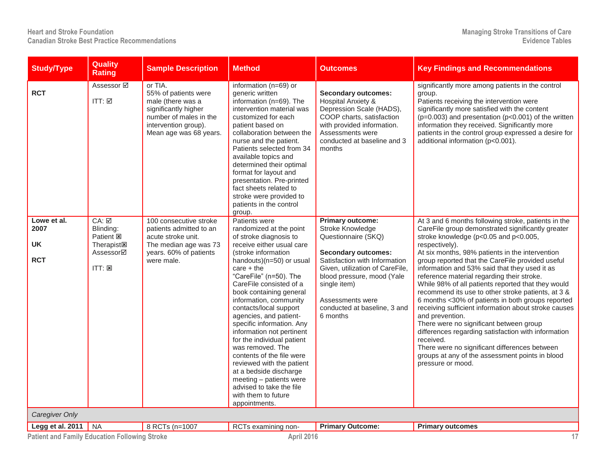| <b>Study/Type</b>                                                        | <b>Quality</b><br><b>Rating</b>                                                                                                  | <b>Sample Description</b>                                                                                                                                | <b>Method</b>                                                                                                                                                                                                                                                                                                                                                                                                                                                                                                                                                                                                                   | <b>Outcomes</b>                                                                                                                                                                                                                                                             | <b>Key Findings and Recommendations</b>                                                                                                                                                                                                                                                                                                                                                                                                                                                                                                                                                                                                                                                                                                                                                                                                                       |
|--------------------------------------------------------------------------|----------------------------------------------------------------------------------------------------------------------------------|----------------------------------------------------------------------------------------------------------------------------------------------------------|---------------------------------------------------------------------------------------------------------------------------------------------------------------------------------------------------------------------------------------------------------------------------------------------------------------------------------------------------------------------------------------------------------------------------------------------------------------------------------------------------------------------------------------------------------------------------------------------------------------------------------|-----------------------------------------------------------------------------------------------------------------------------------------------------------------------------------------------------------------------------------------------------------------------------|---------------------------------------------------------------------------------------------------------------------------------------------------------------------------------------------------------------------------------------------------------------------------------------------------------------------------------------------------------------------------------------------------------------------------------------------------------------------------------------------------------------------------------------------------------------------------------------------------------------------------------------------------------------------------------------------------------------------------------------------------------------------------------------------------------------------------------------------------------------|
| <b>RCT</b>                                                               | Assessor <b>☑</b><br>$ITT: \boxtimes$                                                                                            | or TIA.<br>55% of patients were<br>male (there was a<br>significantly higher<br>number of males in the<br>intervention group).<br>Mean age was 68 years. | information (n=69) or<br>generic written<br>information $(n=69)$ . The<br>intervention material was<br>customized for each<br>patient based on<br>collaboration between the<br>nurse and the patient.<br>Patients selected from 34<br>available topics and<br>determined their optimal<br>format for layout and<br>presentation. Pre-printed<br>fact sheets related to<br>stroke were provided to<br>patients in the control<br>group.                                                                                                                                                                                          | <b>Secondary outcomes:</b><br>Hospital Anxiety &<br>Depression Scale (HADS),<br>COOP charts, satisfaction<br>with provided information.<br>Assessments were<br>conducted at baseline and 3<br>months                                                                        | significantly more among patients in the control<br>group.<br>Patients receiving the intervention were<br>significantly more satisfied with the content<br>$(p=0.003)$ and presentation $(p<0.001)$ of the written<br>information they received. Significantly more<br>patients in the control group expressed a desire for<br>additional information (p<0.001).                                                                                                                                                                                                                                                                                                                                                                                                                                                                                              |
| Lowe et al.<br>2007<br><b>UK</b><br><b>RCT</b>                           | $CA: \boxed{2}$<br>Blinding:<br>Patient <b>図</b><br>Therapist <sub><math>\boxtimes</math></sub><br>Assessor⊠<br>$ITT: \boxtimes$ | 100 consecutive stroke<br>patients admitted to an<br>acute stroke unit.<br>The median age was 73<br>years. 60% of patients<br>were male.                 | Patients were<br>randomized at the point<br>of stroke diagnosis to<br>receive either usual care<br>(stroke information<br>handouts)(n=50) or usual<br>care $+$ the<br>"CareFile" (n=50). The<br>CareFile consisted of a<br>book containing general<br>information, community<br>contacts/local support<br>agencies, and patient-<br>specific information. Any<br>information not pertinent<br>for the individual patient<br>was removed. The<br>contents of the file were<br>reviewed with the patient<br>at a bedside discharge<br>meeting - patients were<br>advised to take the file<br>with them to future<br>appointments. | Primary outcome:<br>Stroke Knowledge<br>Questionnaire (SKQ)<br><b>Secondary outcomes:</b><br>Satisfaction with Information<br>Given, utilization of CareFile,<br>blood pressure, mood (Yale<br>single item)<br>Assessments were<br>conducted at baseline, 3 and<br>6 months | At 3 and 6 months following stroke, patients in the<br>CareFile group demonstrated significantly greater<br>stroke knowledge (p<0.05 and p<0.005,<br>respectively).<br>At six months, 98% patients in the intervention<br>group reported that the CareFile provided useful<br>information and 53% said that they used it as<br>reference material regarding their stroke.<br>While 98% of all patients reported that they would<br>recommend its use to other stroke patients, at 3 &<br>6 months <30% of patients in both groups reported<br>receiving sufficient information about stroke causes<br>and prevention.<br>There were no significant between group<br>differences regarding satisfaction with information<br>received.<br>There were no significant differences between<br>groups at any of the assessment points in blood<br>pressure or mood. |
| Caregiver Only                                                           |                                                                                                                                  |                                                                                                                                                          |                                                                                                                                                                                                                                                                                                                                                                                                                                                                                                                                                                                                                                 |                                                                                                                                                                                                                                                                             |                                                                                                                                                                                                                                                                                                                                                                                                                                                                                                                                                                                                                                                                                                                                                                                                                                                               |
| Legg et al. 2011<br><b>Patient and Family Education Following Stroke</b> | <b>NA</b>                                                                                                                        | 8 RCTs (n=1007                                                                                                                                           | RCTs examining non-<br>April 2016                                                                                                                                                                                                                                                                                                                                                                                                                                                                                                                                                                                               | <b>Primary Outcome:</b>                                                                                                                                                                                                                                                     | <b>Primary outcomes</b><br>17                                                                                                                                                                                                                                                                                                                                                                                                                                                                                                                                                                                                                                                                                                                                                                                                                                 |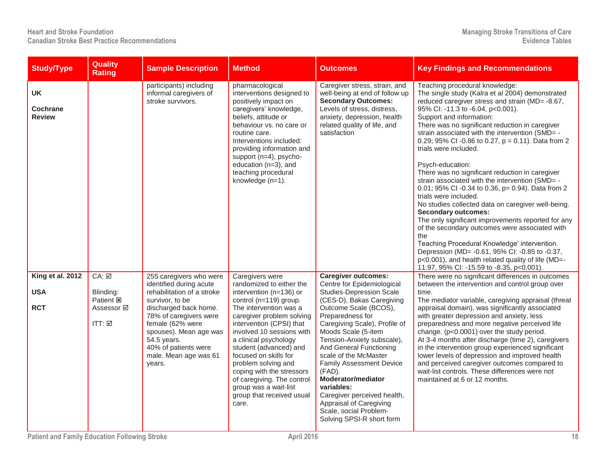| <b>Study/Type</b>                             | <b>Quality</b><br><b>Rating</b>                                       | <b>Sample Description</b>                                                                                                                                                                                                                                                      | <b>Method</b>                                                                                                                                                                                                                                                                                                                                                                                                                                 | Outcomes                                                                                                                                                                                                                                                                                                                                                                                                                                                                                                          | <b>Key Findings and Recommendations</b>                                                                                                                                                                                                                                                                                                                                                                                                                                                                                                                                                                                                                                                                                                                                                                                                                                                                                                                                                                       |
|-----------------------------------------------|-----------------------------------------------------------------------|--------------------------------------------------------------------------------------------------------------------------------------------------------------------------------------------------------------------------------------------------------------------------------|-----------------------------------------------------------------------------------------------------------------------------------------------------------------------------------------------------------------------------------------------------------------------------------------------------------------------------------------------------------------------------------------------------------------------------------------------|-------------------------------------------------------------------------------------------------------------------------------------------------------------------------------------------------------------------------------------------------------------------------------------------------------------------------------------------------------------------------------------------------------------------------------------------------------------------------------------------------------------------|---------------------------------------------------------------------------------------------------------------------------------------------------------------------------------------------------------------------------------------------------------------------------------------------------------------------------------------------------------------------------------------------------------------------------------------------------------------------------------------------------------------------------------------------------------------------------------------------------------------------------------------------------------------------------------------------------------------------------------------------------------------------------------------------------------------------------------------------------------------------------------------------------------------------------------------------------------------------------------------------------------------|
| <b>UK</b><br><b>Cochrane</b><br><b>Review</b> |                                                                       | participants) including<br>informal caregivers of<br>stroke survivors.                                                                                                                                                                                                         | pharmacological<br>interventions designed to<br>positively impact on<br>caregivers' knowledge,<br>beliefs, attitude or<br>behaviour vs. no care or<br>routine care.<br>Interventions included:<br>providing information and<br>support (n=4), psycho-<br>education (n=3), and<br>teaching procedural<br>knowledge (n=1).                                                                                                                      | Caregiver stress, strain, and<br>well-being at end of follow up<br><b>Secondary Outcomes:</b><br>Levels of stress, distress,<br>anxiety, depression, health<br>related quality of life, and<br>satisfaction                                                                                                                                                                                                                                                                                                       | Teaching procedural knowledge:<br>The single study (Kalra et al 2004) demonstrated<br>reduced caregiver stress and strain (MD=-8.67,<br>95% Cl: -11.3 to -6.04, p<0.001).<br>Support and information:<br>There was no significant reduction in caregiver<br>strain associated with the intervention (SMD= -<br>0.29; 95% CI -0.86 to 0.27, $p = 0.11$ ). Data from 2<br>trials were included.<br>Psych-education:<br>There was no significant reduction in caregiver<br>strain associated with the intervention (SMD= -<br>0.01; 95% CI -0.34 to 0.36, p= 0.94). Data from 2<br>trials were included.<br>No studies collected data on caregiver well-being.<br><b>Secondary outcomes:</b><br>The only significant improvements reported for any<br>of the secondary outcomes were associated with<br>the<br>Teaching Procedural Knowledge' intervention.<br>Depression (MD= -0.61, 95% CI: -0.85 to -0.37,<br>p<0.001), and health related quality of life (MD=-<br>11.97, 95% CI: -15.59 to -8.35, p<0.001). |
| King et al. 2012<br><b>USA</b><br><b>RCT</b>  | CA: ☑<br>Blinding:<br>Patient <b>図</b><br>Assessor <b>☑</b><br>ITT: ☑ | 255 caregivers who were<br>identified during acute<br>rehabilitation of a stroke<br>survivor, to be<br>discharged back home.<br>78% of caregivers were<br>female (62% were<br>spouses). Mean age was<br>54.5 years.<br>40% of patients were<br>male. Mean age was 61<br>years. | Caregivers were<br>randomized to either the<br>intervention (n=136) or<br>control (n=119) group.<br>The intervention was a<br>caregiver problem solving<br>intervention (CPSI) that<br>involved 10 sessions with<br>a clinical psychology<br>student (advanced) and<br>focused on skills for<br>problem solving and<br>coping with the stressors<br>of caregiving. The control<br>group was a wait-list<br>group that received usual<br>care. | <b>Caregiver outcomes:</b><br>Centre for Epidemiological<br><b>Studies-Depression Scale</b><br>(CES-D), Bakas Caregiving<br>Outcome Scale (BCOS),<br>Preparedness for<br>Caregiving Scale), Profile of<br>Moods Scale (5-item<br>Tension-Anxiety subscale),<br>And General Functioning<br>scale of the McMaster<br><b>Family Assessment Device</b><br>(FAD).<br>Moderator/mediator<br>variables:<br>Caregiver perceived health,<br>Appraisal of Caregiving<br>Scale, social Problem-<br>Solving SPSI-R short form | There were no significant differences in outcomes<br>between the intervention and control group over<br>time.<br>The mediator variable, caregiving appraisal (threat<br>appraisal domain), was significantly associated<br>with greater depression and anxiety, less<br>preparedness and more negative perceived life<br>change. (p<0.0001) over the study period.<br>At 3-4 months after discharge (time 2), caregivers<br>in the intervention group experienced significant<br>lower levels of depression and improved health<br>and perceived caregiver outcomes compared to<br>wait-list controls. These differences were not<br>maintained at 6 or 12 months.                                                                                                                                                                                                                                                                                                                                            |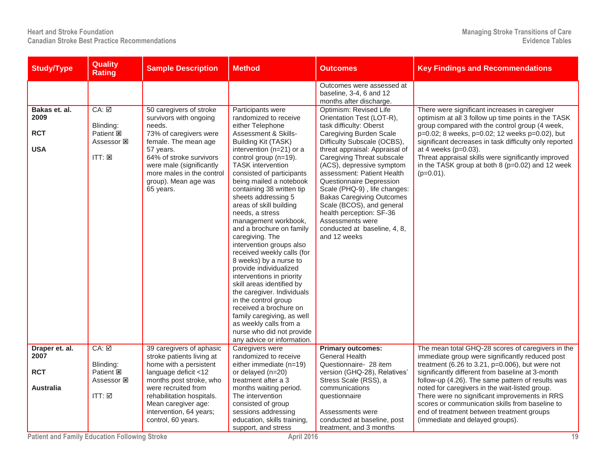| <b>Study/Type</b>                                 | <b>Quality</b><br><b>Rating</b>                                                 | <b>Sample Description</b>                                                                                                                                                                                                                                      | <b>Method</b>                                                                                                                                                                                                                                                                                                                                                                                                                                                                                                                                                                                                                                                                                                                                                                                                         | Outcomes                                                                                                                                                                                                                                                                                                                                                                                                                                                                                                                                                                            | <b>Key Findings and Recommendations</b>                                                                                                                                                                                                                                                                                                                                                                                                                                                                |
|---------------------------------------------------|---------------------------------------------------------------------------------|----------------------------------------------------------------------------------------------------------------------------------------------------------------------------------------------------------------------------------------------------------------|-----------------------------------------------------------------------------------------------------------------------------------------------------------------------------------------------------------------------------------------------------------------------------------------------------------------------------------------------------------------------------------------------------------------------------------------------------------------------------------------------------------------------------------------------------------------------------------------------------------------------------------------------------------------------------------------------------------------------------------------------------------------------------------------------------------------------|-------------------------------------------------------------------------------------------------------------------------------------------------------------------------------------------------------------------------------------------------------------------------------------------------------------------------------------------------------------------------------------------------------------------------------------------------------------------------------------------------------------------------------------------------------------------------------------|--------------------------------------------------------------------------------------------------------------------------------------------------------------------------------------------------------------------------------------------------------------------------------------------------------------------------------------------------------------------------------------------------------------------------------------------------------------------------------------------------------|
| Bakas et. al.<br>2009<br><b>RCT</b><br><b>USA</b> | $CA: \nabla$<br>Blinding:<br>Patient <b>図</b><br>Assessor 図<br>$ITT: \boxtimes$ | 50 caregivers of stroke<br>survivors with ongoing<br>needs.<br>73% of caregivers were<br>female. The mean age<br>57 years.<br>64% of stroke survivors<br>were male (significantly<br>more males in the control<br>group). Mean age was<br>65 years.            | Participants were<br>randomized to receive<br>either Telephone<br><b>Assessment &amp; Skills-</b><br>Building Kit (TASK)<br>intervention (n=21) or a<br>control group (n=19).<br><b>TASK</b> intervention<br>consisted of participants<br>being mailed a notebook<br>containing 38 written tip<br>sheets addressing 5<br>areas of skill building<br>needs, a stress<br>management workbook,<br>and a brochure on family<br>caregiving. The<br>intervention groups also<br>received weekly calls (for<br>8 weeks) by a nurse to<br>provide individualized<br>interventions in priority<br>skill areas identified by<br>the caregiver. Individuals<br>in the control group<br>received a brochure on<br>family caregiving, as well<br>as weekly calls from a<br>nurse who did not provide<br>any advice or information. | Outcomes were assessed at<br>baseline, 3-4, 6 and 12<br>months after discharge.<br>Optimism: Revised Life<br>Orientation Test (LOT-R),<br>task difficulty: Oberst<br>Caregiving Burden Scale<br>Difficulty Subscale (OCBS),<br>threat appraisal: Appraisal of<br>Caregiving Threat subscale<br>(ACS), depressive symptom<br>assessment: Patient Health<br>Questionnaire Depression<br>Scale (PHQ-9), life changes:<br><b>Bakas Caregiving Outcomes</b><br>Scale (BCOS), and general<br>health perception: SF-36<br>Assessments were<br>conducted at baseline, 4, 8,<br>and 12 weeks | There were significant increases in caregiver<br>optimism at all 3 follow up time points in the TASK<br>group compared with the control group (4 week,<br>p=0.02; 8 weeks, p=0.02; 12 weeks p=0.02), but<br>significant decreases in task difficulty only reported<br>at 4 weeks (p=0.03).<br>Threat appraisal skills were significantly improved<br>in the TASK group at both $8$ ( $p=0.02$ ) and 12 week<br>$(p=0.01)$ .                                                                            |
| Draper et. al.<br>2007<br><b>RCT</b><br>Australia | CA: ☑<br>Blinding:<br>Patient <b>図</b><br>Assessor 図<br>ITT: $\boxtimes$        | 39 caregivers of aphasic<br>stroke patients living at<br>home with a persistent<br>language deficit <12<br>months post stroke, who<br>were recruited from<br>rehabilitation hospitals.<br>Mean caregiver age:<br>intervention, 64 years;<br>control, 60 years. | Caregivers were<br>randomized to receive<br>either immediate (n=19)<br>or delayed (n=20)<br>treatment after a 3<br>months waiting period.<br>The intervention<br>consisted of group<br>sessions addressing<br>education, skills training,<br>support, and stress                                                                                                                                                                                                                                                                                                                                                                                                                                                                                                                                                      | <b>Primary outcomes:</b><br><b>General Health</b><br>Questionnaire- 28 item<br>version (GHQ-28), Relatives'<br>Stress Scale (RSS), a<br>communications<br>questionnaire<br>Assessments were<br>conducted at baseline, post<br>treatment, and 3 months                                                                                                                                                                                                                                                                                                                               | The mean total GHQ-28 scores of caregivers in the<br>immediate group were significantly reduced post<br>treatment (6.26 to 3.21, p=0.006), but were not<br>significantly different from baseline at 3-month<br>follow-up (4.26). The same pattern of results was<br>noted for caregivers in the wait-listed group.<br>There were no significant improvements in RRS<br>scores or communication skills from baseline to<br>end of treatment between treatment groups<br>(immediate and delayed groups). |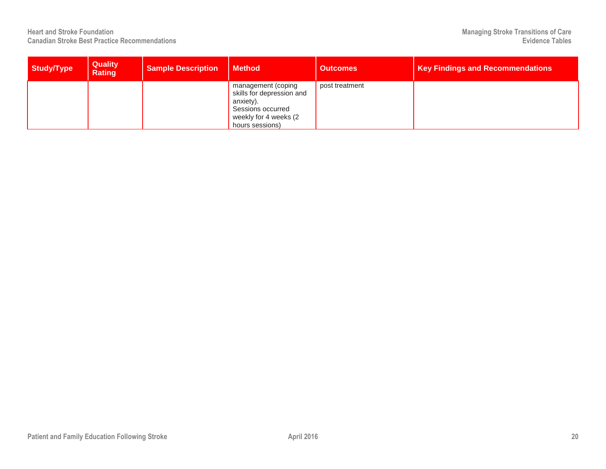| Study/Type | <b>Quality</b><br><b>Rating</b> | <b>Sample Description</b> | <b>Method</b>                                                                                                                 | <b>Outcomes</b> | <b>Key Findings and Recommendations</b> |
|------------|---------------------------------|---------------------------|-------------------------------------------------------------------------------------------------------------------------------|-----------------|-----------------------------------------|
|            |                                 |                           | management (coping<br>skills for depression and<br>anxiety).<br>Sessions occurred<br>weekly for 4 weeks (2<br>hours sessions) | post treatment  |                                         |